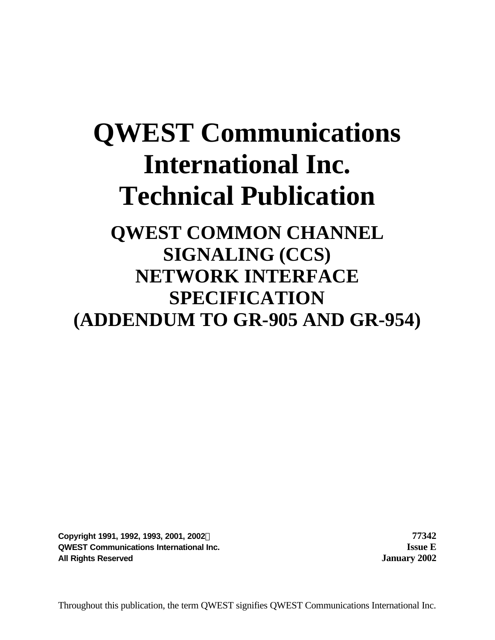# **QWEST Communications International Inc. Technical Publication**

# **QWEST COMMON CHANNEL SIGNALING (CCS) NETWORK INTERFACE SPECIFICATION (ADDENDUM TO GR-905 AND GR-954)**

**Copyright 1991, 1992, 1993, 2001, 2002Ó 77342 QWEST Communications International Inc. Issue E All Rights Reserved January 2002**

Throughout this publication, the term QWEST signifies QWEST Communications International Inc.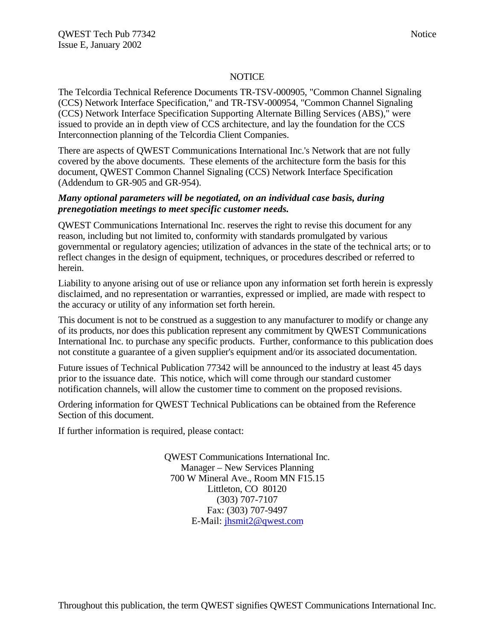#### **NOTICE**

The Telcordia Technical Reference Documents TR-TSV-000905, "Common Channel Signaling (CCS) Network Interface Specification," and TR-TSV-000954, "Common Channel Signaling (CCS) Network Interface Specification Supporting Alternate Billing Services (ABS)," were issued to provide an in depth view of CCS architecture, and lay the foundation for the CCS Interconnection planning of the Telcordia Client Companies.

There are aspects of QWEST Communications International Inc.'s Network that are not fully covered by the above documents. These elements of the architecture form the basis for this document, QWEST Common Channel Signaling (CCS) Network Interface Specification (Addendum to GR-905 and GR-954).

#### *Many optional parameters will be negotiated, on an individual case basis, during prenegotiation meetings to meet specific customer needs.*

QWEST Communications International Inc. reserves the right to revise this document for any reason, including but not limited to, conformity with standards promulgated by various governmental or regulatory agencies; utilization of advances in the state of the technical arts; or to reflect changes in the design of equipment, techniques, or procedures described or referred to herein.

Liability to anyone arising out of use or reliance upon any information set forth herein is expressly disclaimed, and no representation or warranties, expressed or implied, are made with respect to the accuracy or utility of any information set forth herein.

This document is not to be construed as a suggestion to any manufacturer to modify or change any of its products, nor does this publication represent any commitment by QWEST Communications International Inc. to purchase any specific products. Further, conformance to this publication does not constitute a guarantee of a given supplier's equipment and/or its associated documentation.

Future issues of Technical Publication 77342 will be announced to the industry at least 45 days prior to the issuance date. This notice, which will come through our standard customer notification channels, will allow the customer time to comment on the proposed revisions.

Ordering information for QWEST Technical Publications can be obtained from the Reference Section of this document.

If further information is required, please contact:

QWEST Communications International Inc. Manager – New Services Planning 700 W Mineral Ave., Room MN F15.15 Littleton, CO 80120 (303) 707-7107 Fax: (303) 707-9497 E-Mail: jhsmit2@qwest.com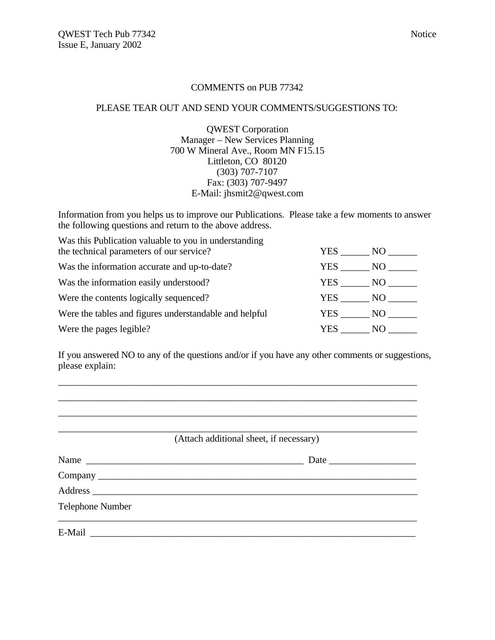#### COMMENTS on PUB 77342

#### PLEASE TEAR OUT AND SEND YOUR COMMENTS/SUGGESTIONS TO:

QWEST Corporation Manager – New Services Planning 700 W Mineral Ave., Room MN F15.15 Littleton, CO 80120 (303) 707-7107 Fax: (303) 707-9497 E-Mail: jhsmit2@qwest.com

Information from you helps us to improve our Publications. Please take a few moments to answer the following questions and return to the above address.

| Was this Publication valuable to you in understanding<br>the technical parameters of our service? | <b>YES</b> | NO       |  |
|---------------------------------------------------------------------------------------------------|------------|----------|--|
| Was the information accurate and up-to-date?                                                      | YES        | NO       |  |
| Was the information easily understood?                                                            |            | YES NO   |  |
| Were the contents logically sequenced?                                                            | YES        | $NO_{-}$ |  |
| Were the tables and figures understandable and helpful                                            | YES        | NO       |  |
| Were the pages legible?                                                                           | YES        | NO.      |  |
|                                                                                                   |            |          |  |

If you answered NO to any of the questions and/or if you have any other comments or suggestions, please explain:

\_\_\_\_\_\_\_\_\_\_\_\_\_\_\_\_\_\_\_\_\_\_\_\_\_\_\_\_\_\_\_\_\_\_\_\_\_\_\_\_\_\_\_\_\_\_\_\_\_\_\_\_\_\_\_\_\_\_\_\_\_\_\_\_\_\_\_\_\_\_\_\_\_\_

|                  | (Attach additional sheet, if necessary) |
|------------------|-----------------------------------------|
|                  |                                         |
|                  |                                         |
|                  |                                         |
| Telephone Number |                                         |
|                  |                                         |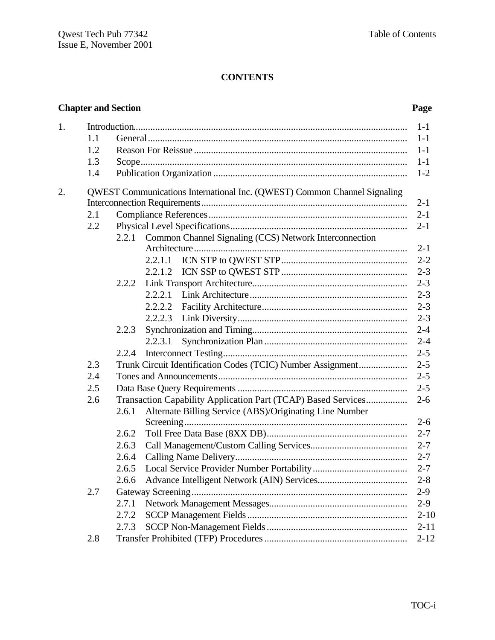# **CONTENTS**

| <b>Chapter and Section</b> | Page |
|----------------------------|------|
|                            |      |

| 1. |     |                                                                          | $1-1$    |
|----|-----|--------------------------------------------------------------------------|----------|
|    | 1.1 |                                                                          | $1-1$    |
|    | 1.2 |                                                                          | $1-1$    |
|    | 1.3 |                                                                          | $1-1$    |
|    | 1.4 |                                                                          | $1 - 2$  |
| 2. |     | QWEST Communications International Inc. (QWEST) Common Channel Signaling |          |
|    |     |                                                                          | $2 - 1$  |
|    | 2.1 |                                                                          | $2 - 1$  |
|    | 2.2 |                                                                          |          |
|    |     | 2.2.1 Common Channel Signaling (CCS) Network Interconnection             |          |
|    |     |                                                                          | $2-1$    |
|    |     | 2.2.1.1                                                                  | $2 - 2$  |
|    |     | 2.2.1.2                                                                  | $2 - 3$  |
|    |     | 2.2.2                                                                    | $2 - 3$  |
|    |     | 2.2.2.1                                                                  |          |
|    |     | 2.2.2.2                                                                  | $2 - 3$  |
|    |     | 2.2.2.3                                                                  |          |
|    |     | 2.2.3                                                                    |          |
|    |     | 2.2.3.1                                                                  | $2 - 4$  |
|    |     | 2.2.4                                                                    |          |
|    | 2.3 | Trunk Circuit Identification Codes (TCIC) Number Assignment              | $2 - 5$  |
|    | 2.4 |                                                                          | $2 - 5$  |
|    | 2.5 |                                                                          | $2 - 5$  |
|    | 2.6 | Transaction Capability Application Part (TCAP) Based Services            | $2 - 6$  |
|    |     | Alternate Billing Service (ABS)/Originating Line Number<br>2.6.1         | $2 - 6$  |
|    |     | 2.6.2                                                                    | $2 - 7$  |
|    |     | 2.6.3                                                                    |          |
|    |     | 2.6.4                                                                    |          |
|    |     | 2.6.5                                                                    | $2 - 7$  |
|    |     | 2.6.6                                                                    | $2 - 8$  |
|    | 2.7 |                                                                          | $2-9$    |
|    |     | 2.7.1                                                                    | $2-9$    |
|    |     | 2.7.2                                                                    | $2 - 10$ |
|    |     | 2.7.3                                                                    | $2 - 11$ |
|    | 2.8 |                                                                          | $2 - 12$ |
|    |     |                                                                          |          |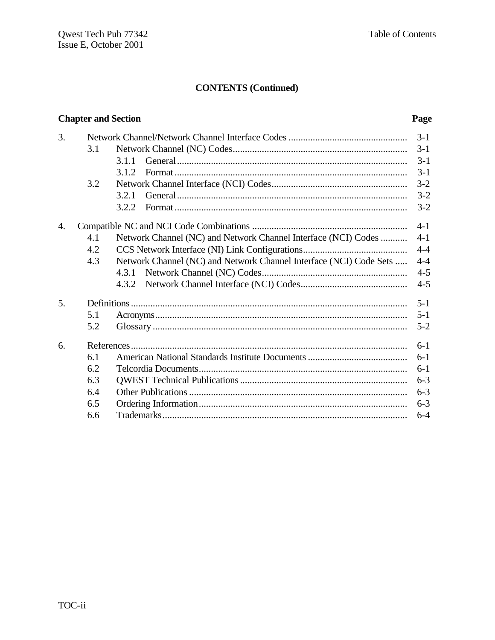# **CONTENTS (Continued)**

#### **Chapter and Section**

### Page

|     |                                                                    | $3 - 1$ |
|-----|--------------------------------------------------------------------|---------|
| 3.1 |                                                                    | $3-1$   |
|     | 3.1.1                                                              | $3 - 1$ |
|     | 3.1.2                                                              | $3-1$   |
| 3.2 |                                                                    | $3 - 2$ |
|     | 3.2.1                                                              | $3 - 2$ |
|     | 3.2.2                                                              | $3 - 2$ |
|     |                                                                    | $4 - 1$ |
| 4.1 | Network Channel (NC) and Network Channel Interface (NCI) Codes     | $4 - 1$ |
| 4.2 |                                                                    | $4 - 4$ |
| 4.3 | Network Channel (NC) and Network Channel Interface (NCI) Code Sets | $4 - 4$ |
|     | 4.3.1                                                              | $4 - 5$ |
|     | 4.3.2                                                              | $4 - 5$ |
|     |                                                                    | $5 - 1$ |
| 5.1 |                                                                    | $5 - 1$ |
| 5.2 |                                                                    | $5 - 2$ |
|     |                                                                    | $6-1$   |
| 6.1 |                                                                    | $6 - 1$ |
| 6.2 |                                                                    | $6-1$   |
| 6.3 |                                                                    | $6 - 3$ |
| 6.4 |                                                                    | $6 - 3$ |
| 6.5 |                                                                    | $6 - 3$ |
| 6.6 |                                                                    | $6 - 4$ |
|     |                                                                    |         |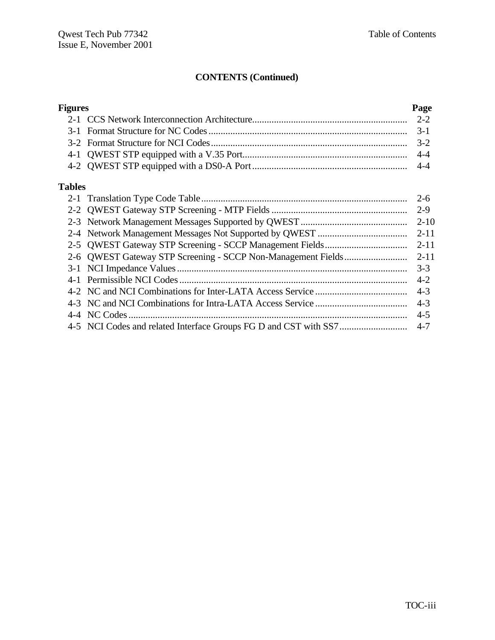# **CONTENTS (Continued)**

| <b>Figures</b> |              | Page     |
|----------------|--------------|----------|
|                |              | $2 - 2$  |
|                |              | $3-1$    |
|                |              |          |
|                |              |          |
|                |              |          |
| <b>Tables</b>  |              |          |
|                |              | $2 - 6$  |
|                |              | $2 - 9$  |
|                |              | $2 - 10$ |
|                |              | $2 - 11$ |
|                |              | $2 - 11$ |
|                |              | $2 - 11$ |
|                |              | $3 - 3$  |
|                |              | $4 - 2$  |
|                |              | $4 - 3$  |
|                |              | $4 - 3$  |
|                | 4-4 NC Codes | $4 - 5$  |
|                |              | $4 - 7$  |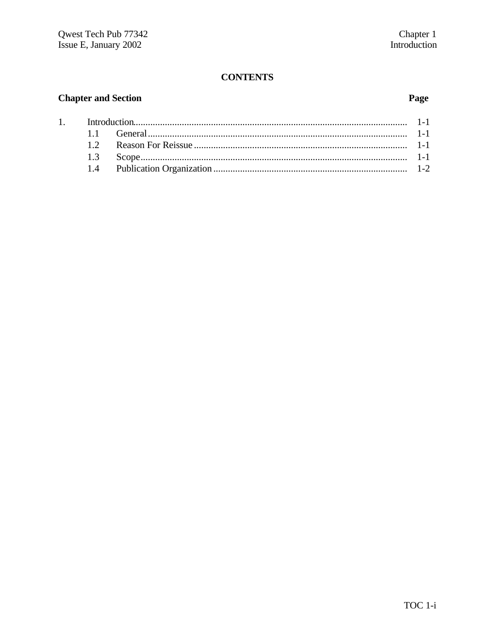### **CONTENTS**

#### **Chapter and Section**

 $\overline{1}$ .

#### Page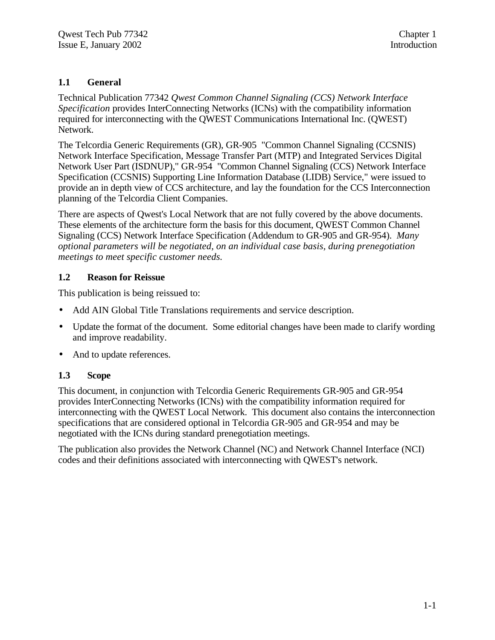#### **1.1 General**

Technical Publication 77342 *Qwest Common Channel Signaling (CCS) Network Interface Specification* provides InterConnecting Networks (ICNs) with the compatibility information required for interconnecting with the QWEST Communications International Inc. (QWEST) Network.

The Telcordia Generic Requirements (GR), GR-905 "Common Channel Signaling (CCSNIS) Network Interface Specification, Message Transfer Part (MTP) and Integrated Services Digital Network User Part (ISDNUP)," GR-954 "Common Channel Signaling (CCS) Network Interface Specification (CCSNIS) Supporting Line Information Database (LIDB) Service," were issued to provide an in depth view of CCS architecture, and lay the foundation for the CCS Interconnection planning of the Telcordia Client Companies.

There are aspects of Qwest's Local Network that are not fully covered by the above documents. These elements of the architecture form the basis for this document, QWEST Common Channel Signaling (CCS) Network Interface Specification (Addendum to GR-905 and GR-954). *Many optional parameters will be negotiated, on an individual case basis, during prenegotiation meetings to meet specific customer needs.*

#### **1.2 Reason for Reissue**

This publication is being reissued to:

- Add AIN Global Title Translations requirements and service description.
- Update the format of the document. Some editorial changes have been made to clarify wording and improve readability.
- And to update references.

#### **1.3 Scope**

This document, in conjunction with Telcordia Generic Requirements GR-905 and GR-954 provides InterConnecting Networks (ICNs) with the compatibility information required for interconnecting with the QWEST Local Network. This document also contains the interconnection specifications that are considered optional in Telcordia GR-905 and GR-954 and may be negotiated with the ICNs during standard prenegotiation meetings.

The publication also provides the Network Channel (NC) and Network Channel Interface (NCI) codes and their definitions associated with interconnecting with QWEST's network.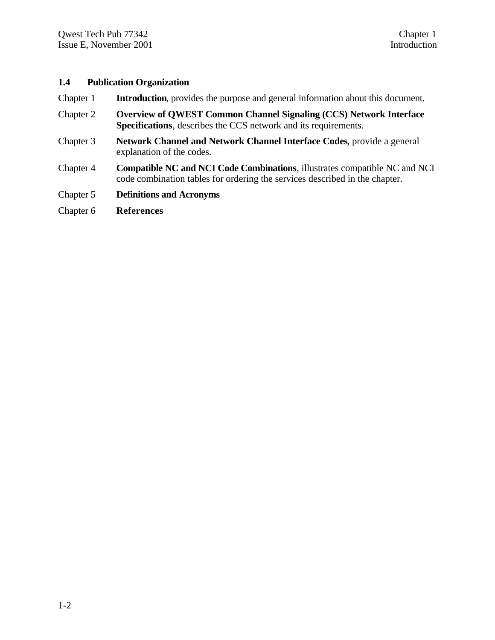#### **1.4 Publication Organization**

- Chapter 1 **Introduction**, provides the purpose and general information about this document.
- Chapter 2 **Overview of QWEST Common Channel Signaling (CCS) Network Interface Specifications**, describes the CCS network and its requirements.
- Chapter 3 **Network Channel and Network Channel Interface Codes**, provide a general explanation of the codes.
- Chapter 4 **Compatible NC and NCI Code Combinations**, illustrates compatible NC and NCI code combination tables for ordering the services described in the chapter.
- Chapter 5 **Definitions and Acronyms**
- Chapter 6 **References**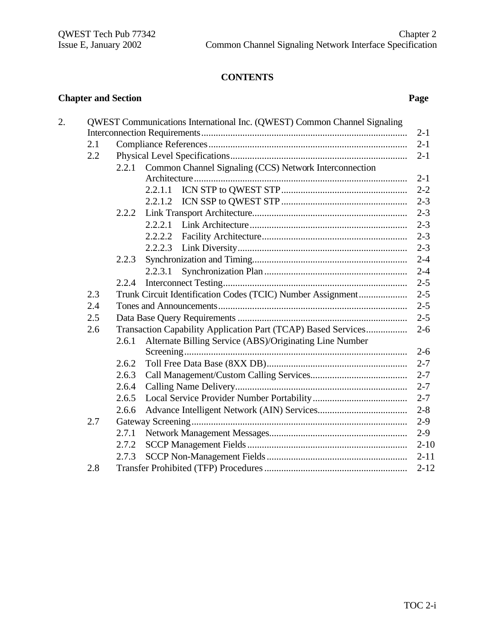# **CONTENTS**

#### **Chapter and Section Page**

| 2. |     |       | QWEST Communications International Inc. (QWEST) Common Channel Signaling |  |
|----|-----|-------|--------------------------------------------------------------------------|--|
|    |     |       | $2 - 1$                                                                  |  |
|    | 2.1 |       | $2 - 1$                                                                  |  |
|    | 2.2 |       | $2 - 1$                                                                  |  |
|    |     | 2.2.1 | Common Channel Signaling (CCS) Network Interconnection                   |  |
|    |     |       | $2 - 1$                                                                  |  |
|    |     |       | $2 - 2$<br>2.2.1.1                                                       |  |
|    |     |       | $2 - 3$                                                                  |  |
|    |     | 2.2.2 | $2 - 3$                                                                  |  |
|    |     |       | 2.2.2.1<br>$2 - 3$                                                       |  |
|    |     |       | 2.2.2.2<br>$2 - 3$                                                       |  |
|    |     |       | 2.2.2.3                                                                  |  |
|    |     | 2.2.3 | $2 - 4$                                                                  |  |
|    |     |       | 2.2.3.1<br>$2 - 4$                                                       |  |
|    |     | 2.2.4 |                                                                          |  |
|    | 2.3 |       | Trunk Circuit Identification Codes (TCIC) Number Assignment<br>$2 - 5$   |  |
|    | 2.4 |       | $2 - 5$                                                                  |  |
|    | 2.5 |       | $2 - 5$<br>$2 - 6$                                                       |  |
|    | 2.6 |       | Transaction Capability Application Part (TCAP) Based Services            |  |
|    |     | 2.6.1 | Alternate Billing Service (ABS)/Originating Line Number                  |  |
|    |     |       | $2 - 6$                                                                  |  |
|    |     | 2.6.2 | $2 - 7$                                                                  |  |
|    |     | 2.6.3 | $2 - 7$                                                                  |  |
|    |     | 2.6.4 |                                                                          |  |
|    |     | 2.6.5 | $2 - 7$                                                                  |  |
|    |     | 2.6.6 | $2 - 8$                                                                  |  |
|    | 2.7 |       | $2-9$                                                                    |  |
|    |     | 2.7.1 | $2-9$                                                                    |  |
|    |     | 2.7.2 | $2 - 10$                                                                 |  |
|    |     | 2.7.3 | $2 - 11$                                                                 |  |
|    | 2.8 |       | $2 - 12$                                                                 |  |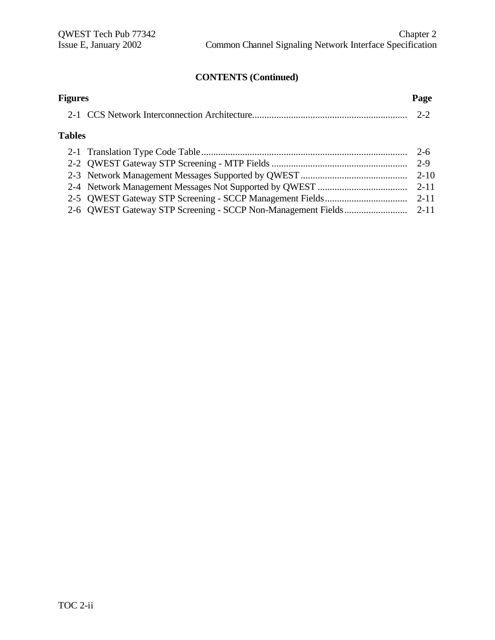# **CONTENTS (Continued)**

| <b>Figures</b> | Page     |
|----------------|----------|
|                |          |
| <b>Tables</b>  |          |
|                | $2-6$    |
|                | 2-9      |
|                | $2 - 10$ |
|                | $2 - 11$ |
|                | $2 - 11$ |
|                |          |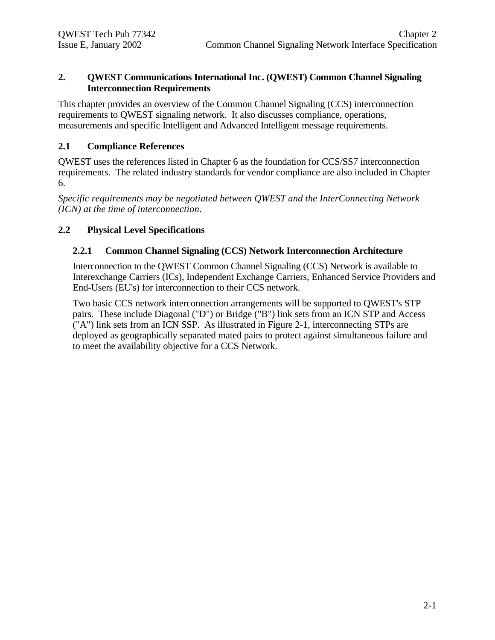#### **2. QWEST Communications International Inc. (QWEST) Common Channel Signaling Interconnection Requirements**

This chapter provides an overview of the Common Channel Signaling (CCS) interconnection requirements to QWEST signaling network. It also discusses compliance, operations, measurements and specific Intelligent and Advanced Intelligent message requirements.

#### **2.1 Compliance References**

QWEST uses the references listed in Chapter 6 as the foundation for CCS/SS7 interconnection requirements. The related industry standards for vendor compliance are also included in Chapter 6.

*Specific requirements may be negotiated between QWEST and the InterConnecting Network (ICN) at the time of interconnection*.

#### **2.2 Physical Level Specifications**

#### **2.2.1 Common Channel Signaling (CCS) Network Interconnection Architecture**

Interconnection to the QWEST Common Channel Signaling (CCS) Network is available to Interexchange Carriers (ICs), Independent Exchange Carriers, Enhanced Service Providers and End-Users (EU's) for interconnection to their CCS network.

Two basic CCS network interconnection arrangements will be supported to QWEST's STP pairs. These include Diagonal ("D") or Bridge ("B") link sets from an ICN STP and Access ("A") link sets from an ICN SSP. As illustrated in Figure 2-1, interconnecting STPs are deployed as geographically separated mated pairs to protect against simultaneous failure and to meet the availability objective for a CCS Network.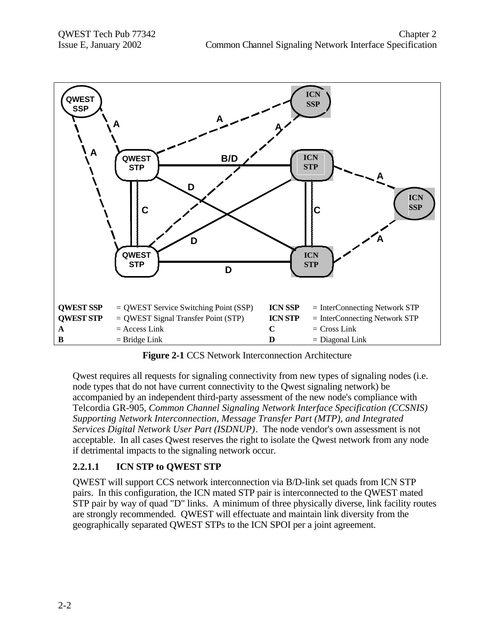

**Figure 2-1** CCS Network Interconnection Architecture

Qwest requires all requests for signaling connectivity from new types of signaling nodes (i.e. node types that do not have current connectivity to the Qwest signaling network) be accompanied by an independent third-party assessment of the new node's compliance with Telcordia GR-905, *Common Channel Signaling Network Interface Specification (CCSNIS) Supporting Network Interconnection, Message Transfer Part (MTP), and Integrated Services Digital Network User Part (ISDNUP)*. The node vendor's own assessment is not acceptable. In all cases Qwest reserves the right to isolate the Qwest network from any node if detrimental impacts to the signaling network occur.

### **2.2.1.1 ICN STP to QWEST STP**

QWEST will support CCS network interconnection via B/D-link set quads from ICN STP pairs. In this configuration, the ICN mated STP pair is interconnected to the QWEST mated STP pair by way of quad "D" links. A minimum of three physically diverse, link facility routes are strongly recommended. QWEST will effectuate and maintain link diversity from the geographically separated QWEST STPs to the ICN SPOI per a joint agreement.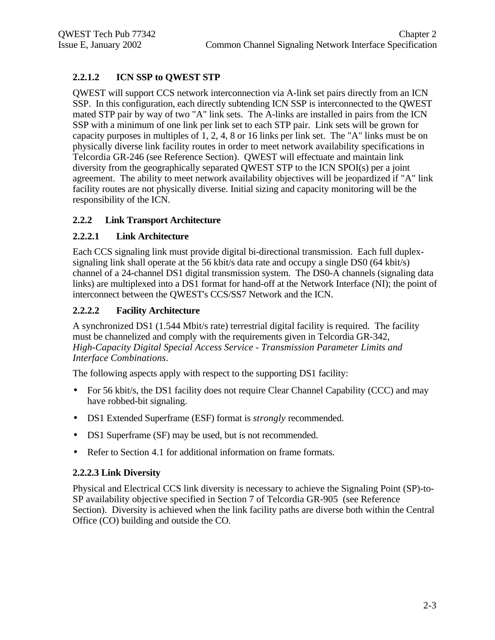#### **2.2.1.2 ICN SSP to QWEST STP**

QWEST will support CCS network interconnection via A-link set pairs directly from an ICN SSP. In this configuration, each directly subtending ICN SSP is interconnected to the QWEST mated STP pair by way of two "A" link sets. The A-links are installed in pairs from the ICN SSP with a minimum of one link per link set to each STP pair. Link sets will be grown for capacity purposes in multiples of 1, 2, 4, 8 or 16 links per link set. The "A" links must be on physically diverse link facility routes in order to meet network availability specifications in Telcordia GR-246 (see Reference Section). QWEST will effectuate and maintain link diversity from the geographically separated QWEST STP to the ICN SPOI(s) per a joint agreement. The ability to meet network availability objectives will be jeopardized if "A" link facility routes are not physically diverse. Initial sizing and capacity monitoring will be the responsibility of the ICN.

#### **2.2.2 Link Transport Architecture**

#### **2.2.2.1 Link Architecture**

Each CCS signaling link must provide digital bi-directional transmission. Each full duplexsignaling link shall operate at the 56 kbit/s data rate and occupy a single DS0 (64 kbit/s) channel of a 24-channel DS1 digital transmission system. The DS0-A channels (signaling data links) are multiplexed into a DS1 format for hand-off at the Network Interface (NI); the point of interconnect between the QWEST's CCS/SS7 Network and the ICN.

#### **2.2.2.2 Facility Architecture**

A synchronized DS1 (1.544 Mbit/s rate) terrestrial digital facility is required. The facility must be channelized and comply with the requirements given in Telcordia GR-342, *High-Capacity Digital Special Access Service - Transmission Parameter Limits and Interface Combinations*.

The following aspects apply with respect to the supporting DS1 facility:

- For 56 kbit/s, the DS1 facility does not require Clear Channel Capability (CCC) and may have robbed-bit signaling.
- DS1 Extended Superframe (ESF) format is *strongly* recommended.
- DS1 Superframe (SF) may be used, but is not recommended.
- Refer to Section 4.1 for additional information on frame formats.

#### **2.2.2.3 Link Diversity**

Physical and Electrical CCS link diversity is necessary to achieve the Signaling Point (SP)-to-SP availability objective specified in Section 7 of Telcordia GR-905 (see Reference Section). Diversity is achieved when the link facility paths are diverse both within the Central Office (CO) building and outside the CO.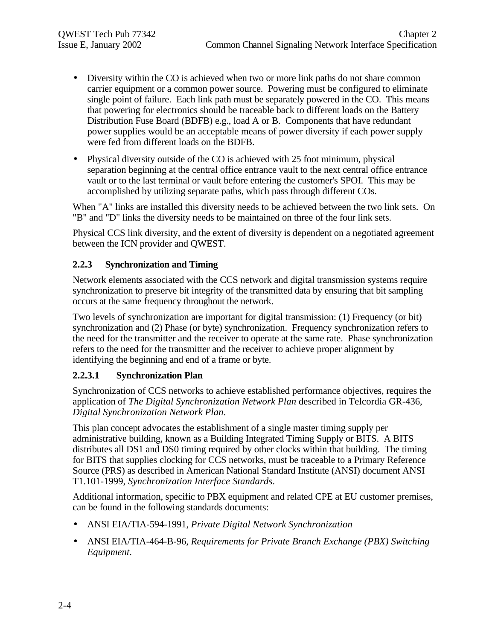- Diversity within the CO is achieved when two or more link paths do not share common carrier equipment or a common power source. Powering must be configured to eliminate single point of failure. Each link path must be separately powered in the CO. This means that powering for electronics should be traceable back to different loads on the Battery Distribution Fuse Board (BDFB) e.g., load A or B. Components that have redundant power supplies would be an acceptable means of power diversity if each power supply were fed from different loads on the BDFB.
- Physical diversity outside of the CO is achieved with 25 foot minimum, physical separation beginning at the central office entrance vault to the next central office entrance vault or to the last terminal or vault before entering the customer's SPOI. This may be accomplished by utilizing separate paths, which pass through different COs.

When "A" links are installed this diversity needs to be achieved between the two link sets. On "B" and "D" links the diversity needs to be maintained on three of the four link sets.

Physical CCS link diversity, and the extent of diversity is dependent on a negotiated agreement between the ICN provider and QWEST.

#### **2.2.3 Synchronization and Timing**

Network elements associated with the CCS network and digital transmission systems require synchronization to preserve bit integrity of the transmitted data by ensuring that bit sampling occurs at the same frequency throughout the network.

Two levels of synchronization are important for digital transmission: (1) Frequency (or bit) synchronization and (2) Phase (or byte) synchronization. Frequency synchronization refers to the need for the transmitter and the receiver to operate at the same rate. Phase synchronization refers to the need for the transmitter and the receiver to achieve proper alignment by identifying the beginning and end of a frame or byte.

#### **2.2.3.1 Synchronization Plan**

Synchronization of CCS networks to achieve established performance objectives, requires the application of *The Digital Synchronization Network Plan* described in Telcordia GR-436, *Digital Synchronization Network Plan*.

This plan concept advocates the establishment of a single master timing supply per administrative building, known as a Building Integrated Timing Supply or BITS. A BITS distributes all DS1 and DS0 timing required by other clocks within that building. The timing for BITS that supplies clocking for CCS networks, must be traceable to a Primary Reference Source (PRS) as described in American National Standard Institute (ANSI) document ANSI T1.101-1999, *Synchronization Interface Standards*.

Additional information, specific to PBX equipment and related CPE at EU customer premises, can be found in the following standards documents:

- ANSI EIA/TIA-594-1991, *Private Digital Network Synchronization*
- ANSI EIA/TIA-464-B-96, *Requirements for Private Branch Exchange (PBX) Switching Equipment*.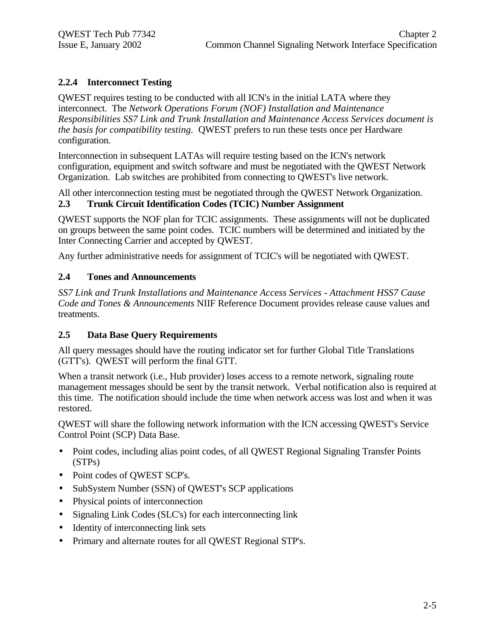#### **2.2.4 Interconnect Testing**

QWEST requires testing to be conducted with all ICN's in the initial LATA where they interconnect. The *Network Operations Forum (NOF) Installation and Maintenance Responsibilities SS7 Link and Trunk Installation and Maintenance Access Services document is the basis for compatibility testing.* QWEST prefers to run these tests once per Hardware configuration.

Interconnection in subsequent LATAs will require testing based on the ICN's network configuration, equipment and switch software and must be negotiated with the QWEST Network Organization. Lab switches are prohibited from connecting to QWEST's live network.

All other interconnection testing must be negotiated through the QWEST Network Organization.

#### **2.3 Trunk Circuit Identification Codes (TCIC) Number Assignment**

QWEST supports the NOF plan for TCIC assignments. These assignments will not be duplicated on groups between the same point codes. TCIC numbers will be determined and initiated by the Inter Connecting Carrier and accepted by QWEST.

Any further administrative needs for assignment of TCIC's will be negotiated with QWEST.

#### **2.4 Tones and Announcements**

*SS7 Link and Trunk Installations and Maintenance Access Services - Attachment HSS7 Cause Code and Tones & Announcements* NIIF Reference Document provides release cause values and treatments.

#### **2.5 Data Base Query Requirements**

All query messages should have the routing indicator set for further Global Title Translations (GTT's). QWEST will perform the final GTT.

When a transit network (i.e., Hub provider) loses access to a remote network, signaling route management messages should be sent by the transit network. Verbal notification also is required at this time. The notification should include the time when network access was lost and when it was restored.

QWEST will share the following network information with the ICN accessing QWEST's Service Control Point (SCP) Data Base.

- Point codes, including alias point codes, of all OWEST Regional Signaling Transfer Points (STPs)
- Point codes of QWEST SCP's.
- SubSystem Number (SSN) of QWEST's SCP applications
- Physical points of interconnection
- Signaling Link Codes (SLC's) for each interconnecting link
- Identity of interconnecting link sets
- Primary and alternate routes for all QWEST Regional STP's.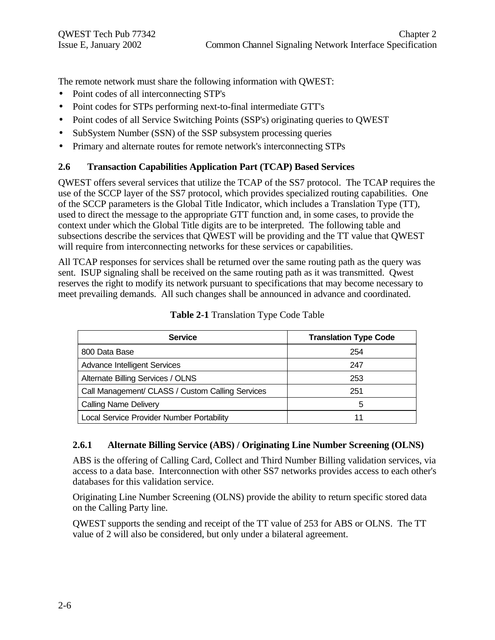The remote network must share the following information with QWEST:

- Point codes of all interconnecting STP's
- Point codes for STPs performing next-to-final intermediate GTT's
- Point codes of all Service Switching Points (SSP's) originating queries to QWEST
- SubSystem Number (SSN) of the SSP subsystem processing queries
- Primary and alternate routes for remote network's interconnecting STPs

#### **2.6 Transaction Capabilities Application Part (TCAP) Based Services**

QWEST offers several services that utilize the TCAP of the SS7 protocol. The TCAP requires the use of the SCCP layer of the SS7 protocol, which provides specialized routing capabilities. One of the SCCP parameters is the Global Title Indicator, which includes a Translation Type (TT), used to direct the message to the appropriate GTT function and, in some cases, to provide the context under which the Global Title digits are to be interpreted. The following table and subsections describe the services that QWEST will be providing and the TT value that QWEST will require from interconnecting networks for these services or capabilities.

All TCAP responses for services shall be returned over the same routing path as the query was sent. ISUP signaling shall be received on the same routing path as it was transmitted. Qwest reserves the right to modify its network pursuant to specifications that may become necessary to meet prevailing demands. All such changes shall be announced in advance and coordinated.

| <b>Service</b>                                   | <b>Translation Type Code</b> |
|--------------------------------------------------|------------------------------|
| 800 Data Base                                    | 254                          |
| <b>Advance Intelligent Services</b>              | 247                          |
| Alternate Billing Services / OLNS                | 253                          |
| Call Management/ CLASS / Custom Calling Services | 251                          |
| <b>Calling Name Delivery</b>                     | 5                            |
| Local Service Provider Number Portability        |                              |

**Table 2-1** Translation Type Code Table

#### **2.6.1 Alternate Billing Service (ABS) / Originating Line Number Screening (OLNS)**

ABS is the offering of Calling Card, Collect and Third Number Billing validation services, via access to a data base. Interconnection with other SS7 networks provides access to each other's databases for this validation service.

Originating Line Number Screening (OLNS) provide the ability to return specific stored data on the Calling Party line.

QWEST supports the sending and receipt of the TT value of 253 for ABS or OLNS. The TT value of 2 will also be considered, but only under a bilateral agreement.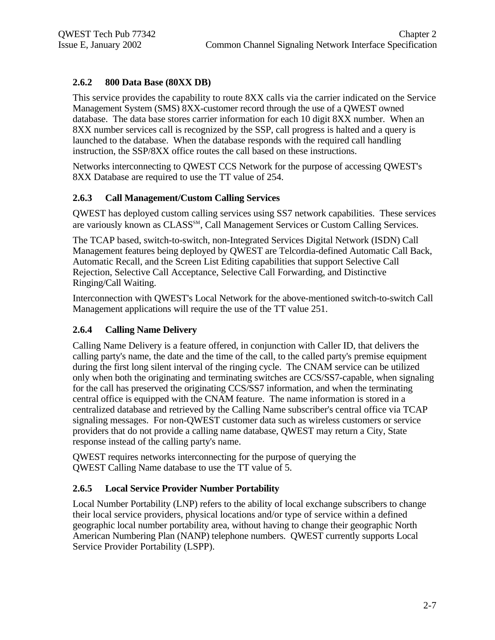#### **2.6.2 800 Data Base (80XX DB)**

This service provides the capability to route 8XX calls via the carrier indicated on the Service Management System (SMS) 8XX-customer record through the use of a QWEST owned database. The data base stores carrier information for each 10 digit 8XX number. When an 8XX number services call is recognized by the SSP, call progress is halted and a query is launched to the database. When the database responds with the required call handling instruction, the SSP/8XX office routes the call based on these instructions.

Networks interconnecting to QWEST CCS Network for the purpose of accessing QWEST's 8XX Database are required to use the TT value of 254.

#### **2.6.3 Call Management/Custom Calling Services**

QWEST has deployed custom calling services using SS7 network capabilities. These services are variously known as CLASS<sup>SM</sup>, Call Management Services or Custom Calling Services.

The TCAP based, switch-to-switch, non-Integrated Services Digital Network (ISDN) Call Management features being deployed by QWEST are Telcordia-defined Automatic Call Back, Automatic Recall, and the Screen List Editing capabilities that support Selective Call Rejection, Selective Call Acceptance, Selective Call Forwarding, and Distinctive Ringing/Call Waiting.

Interconnection with QWEST's Local Network for the above-mentioned switch-to-switch Call Management applications will require the use of the TT value 251.

#### **2.6.4 Calling Name Delivery**

Calling Name Delivery is a feature offered, in conjunction with Caller ID, that delivers the calling party's name, the date and the time of the call, to the called party's premise equipment during the first long silent interval of the ringing cycle. The CNAM service can be utilized only when both the originating and terminating switches are CCS/SS7-capable, when signaling for the call has preserved the originating CCS/SS7 information, and when the terminating central office is equipped with the CNAM feature. The name information is stored in a centralized database and retrieved by the Calling Name subscriber's central office via TCAP signaling messages. For non-QWEST customer data such as wireless customers or service providers that do not provide a calling name database, QWEST may return a City, State response instead of the calling party's name.

QWEST requires networks interconnecting for the purpose of querying the QWEST Calling Name database to use the TT value of 5.

#### **2.6.5 Local Service Provider Number Portability**

Local Number Portability (LNP) refers to the ability of local exchange subscribers to change their local service providers, physical locations and/or type of service within a defined geographic local number portability area, without having to change their geographic North American Numbering Plan (NANP) telephone numbers. QWEST currently supports Local Service Provider Portability (LSPP).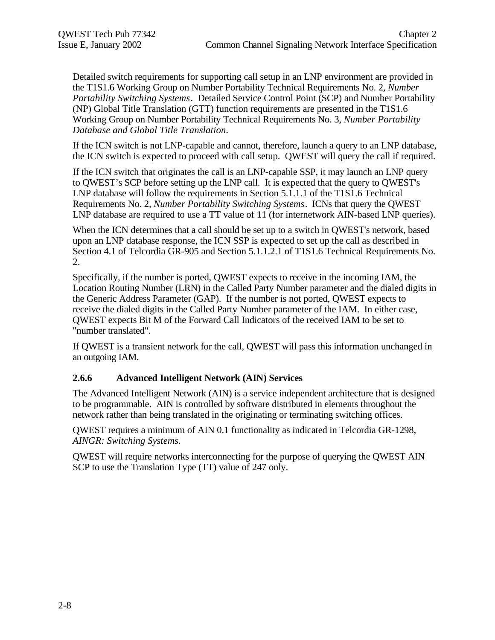Detailed switch requirements for supporting call setup in an LNP environment are provided in the T1S1.6 Working Group on Number Portability Technical Requirements No. 2, *Number Portability Switching Systems*. Detailed Service Control Point (SCP) and Number Portability (NP) Global Title Translation (GTT) function requirements are presented in the T1S1.6 Working Group on Number Portability Technical Requirements No. 3, *Number Portability Database and Global Title Translation*.

If the ICN switch is not LNP-capable and cannot, therefore, launch a query to an LNP database, the ICN switch is expected to proceed with call setup. QWEST will query the call if required.

If the ICN switch that originates the call is an LNP-capable SSP, it may launch an LNP query to QWEST's SCP before setting up the LNP call. It is expected that the query to QWEST's LNP database will follow the requirements in Section 5.1.1.1 of the T1S1.6 Technical Requirements No. 2, *Number Portability Switching Systems*. ICNs that query the QWEST LNP database are required to use a TT value of 11 (for internetwork AIN-based LNP queries).

When the ICN determines that a call should be set up to a switch in QWEST's network, based upon an LNP database response, the ICN SSP is expected to set up the call as described in Section 4.1 of Telcordia GR-905 and Section 5.1.1.2.1 of T1S1.6 Technical Requirements No. 2.

Specifically, if the number is ported, QWEST expects to receive in the incoming IAM, the Location Routing Number (LRN) in the Called Party Number parameter and the dialed digits in the Generic Address Parameter (GAP). If the number is not ported, QWEST expects to receive the dialed digits in the Called Party Number parameter of the IAM. In either case, QWEST expects Bit M of the Forward Call Indicators of the received IAM to be set to "number translated".

If QWEST is a transient network for the call, QWEST will pass this information unchanged in an outgoing IAM.

#### **2.6.6 Advanced Intelligent Network (AIN) Services**

The Advanced Intelligent Network (AIN) is a service independent architecture that is designed to be programmable. AIN is controlled by software distributed in elements throughout the network rather than being translated in the originating or terminating switching offices.

QWEST requires a minimum of AIN 0.1 functionality as indicated in Telcordia GR-1298, *AINGR: Switching Systems.*

QWEST will require networks interconnecting for the purpose of querying the QWEST AIN SCP to use the Translation Type (TT) value of 247 only.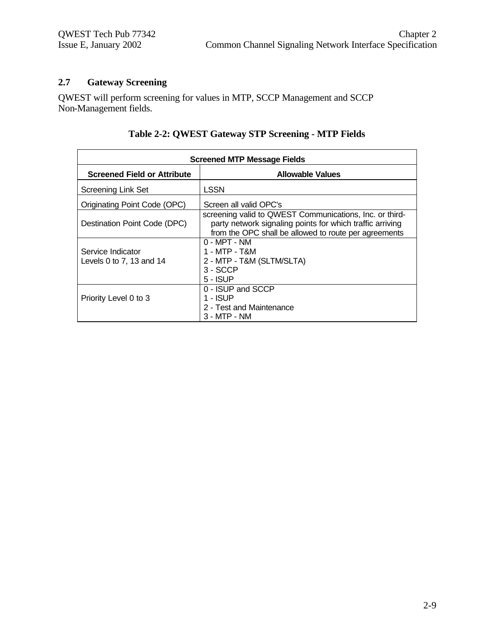#### **2.7 Gateway Screening**

QWEST will perform screening for values in MTP, SCCP Management and SCCP Non-Management fields.

| <b>Screened MTP Message Fields</b>            |                                                                                                                                                                               |  |
|-----------------------------------------------|-------------------------------------------------------------------------------------------------------------------------------------------------------------------------------|--|
| <b>Screened Field or Attribute</b>            | <b>Allowable Values</b>                                                                                                                                                       |  |
| <b>Screening Link Set</b>                     | LSSN                                                                                                                                                                          |  |
| <b>Originating Point Code (OPC)</b>           | Screen all valid OPC's                                                                                                                                                        |  |
| Destination Point Code (DPC)                  | screening valid to QWEST Communications, Inc. or third-<br>party network signaling points for which traffic arriving<br>from the OPC shall be allowed to route per agreements |  |
| Service Indicator<br>Levels 0 to 7, 13 and 14 | $0 - MPT - NM$<br>1 - MTP - T&M<br>2 - MTP - T&M (SLTM/SLTA)<br>$3 - SCCP$<br>5 - ISUP                                                                                        |  |
| Priority Level 0 to 3                         | 0 - ISUP and SCCP<br>$1 - ISUP$<br>2 - Test and Maintenance<br>$3 - MTP - NM$                                                                                                 |  |

#### **Table 2-2: QWEST Gateway STP Screening - MTP Fields**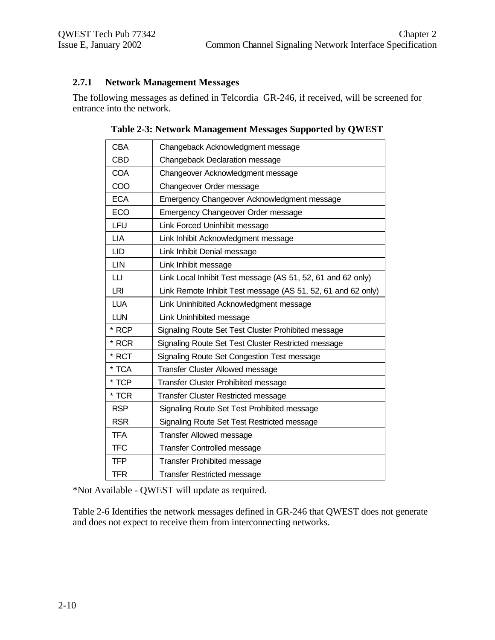#### **2.7.1 Network Management Messages**

The following messages as defined in Telcordia GR-246, if received, will be screened for entrance into the network.

| <b>CBA</b> | Changeback Acknowledgment message                            |
|------------|--------------------------------------------------------------|
| <b>CBD</b> | Changeback Declaration message                               |
| <b>COA</b> | Changeover Acknowledgment message                            |
| COO        | Changeover Order message                                     |
| <b>ECA</b> | Emergency Changeover Acknowledgment message                  |
| ECO        | Emergency Changeover Order message                           |
| LFU        | Link Forced Uninhibit message                                |
| LIA        | Link Inhibit Acknowledgment message                          |
| LID        | Link Inhibit Denial message                                  |
| LIN        | Link Inhibit message                                         |
| LЦ         | Link Local Inhibit Test message (AS 51, 52, 61 and 62 only)  |
| LRI        | Link Remote Inhibit Test message (AS 51, 52, 61 and 62 only) |
| <b>LUA</b> | Link Uninhibited Acknowledgment message                      |
| <b>LUN</b> | Link Uninhibited message                                     |
| * RCP      | Signaling Route Set Test Cluster Prohibited message          |
| * RCR      | Signaling Route Set Test Cluster Restricted message          |
| * RCT      | Signaling Route Set Congestion Test message                  |
| * TCA      | <b>Transfer Cluster Allowed message</b>                      |
| * TCP      | <b>Transfer Cluster Prohibited message</b>                   |
| * TCR      | <b>Transfer Cluster Restricted message</b>                   |
| <b>RSP</b> | Signaling Route Set Test Prohibited message                  |
| <b>RSR</b> | Signaling Route Set Test Restricted message                  |
| <b>TFA</b> | <b>Transfer Allowed message</b>                              |
| <b>TFC</b> | <b>Transfer Controlled message</b>                           |
| <b>TFP</b> | <b>Transfer Prohibited message</b>                           |
| <b>TFR</b> | <b>Transfer Restricted message</b>                           |

**Table 2-3: Network Management Messages Supported by QWEST**

\*Not Available - QWEST will update as required.

Table 2-6 Identifies the network messages defined in GR-246 that QWEST does not generate and does not expect to receive them from interconnecting networks.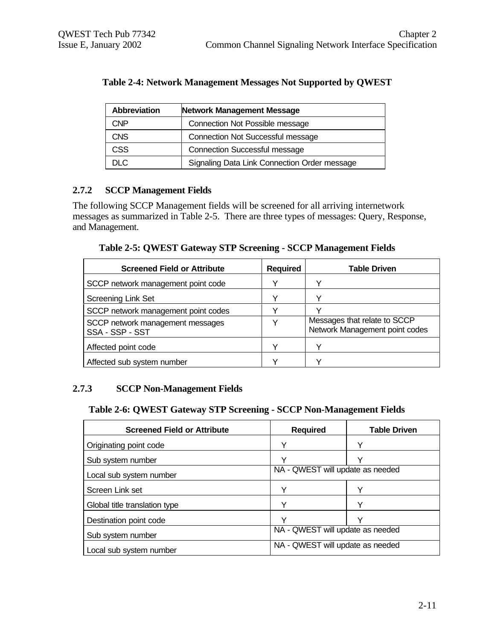| <b>Abbreviation</b><br>Network Management Message |                                              |  |  |
|---------------------------------------------------|----------------------------------------------|--|--|
| CNP                                               | <b>Connection Not Possible message</b>       |  |  |
| <b>CNS</b>                                        | <b>Connection Not Successful message</b>     |  |  |
| CSS                                               | <b>Connection Successful message</b>         |  |  |
| ח וח                                              | Signaling Data Link Connection Order message |  |  |

#### **Table 2-4: Network Management Messages Not Supported by QWEST**

#### **2.7.2 SCCP Management Fields**

The following SCCP Management fields will be screened for all arriving internetwork messages as summarized in Table 2-5. There are three types of messages: Query, Response, and Management.

**Table 2-5: QWEST Gateway STP Screening - SCCP Management Fields**

| <b>Screened Field or Attribute</b>                  | <b>Required</b> | <b>Table Driven</b>                                            |
|-----------------------------------------------------|-----------------|----------------------------------------------------------------|
| SCCP network management point code                  | v               |                                                                |
| <b>Screening Link Set</b>                           | ٧               |                                                                |
| SCCP network management point codes                 | v               |                                                                |
| SCCP network management messages<br>SSA - SSP - SST | v               | Messages that relate to SCCP<br>Network Management point codes |
| Affected point code                                 |                 |                                                                |
| Affected sub system number                          |                 |                                                                |

#### **2.7.3 SCCP Non-Management Fields**

#### **Table 2-6: QWEST Gateway STP Screening - SCCP Non-Management Fields**

| <b>Screened Field or Attribute</b> | <b>Required</b>                  | <b>Table Driven</b> |  |
|------------------------------------|----------------------------------|---------------------|--|
| Originating point code             | Υ                                | Υ                   |  |
| Sub system number                  | v                                | $\check{ }$         |  |
| Local sub system number            | NA - QWEST will update as needed |                     |  |
| Screen Link set                    | Y                                | Y                   |  |
| Global title translation type      | Υ                                | Υ                   |  |
| Destination point code             | v                                | ν                   |  |
| Sub system number                  | NA - QWEST will update as needed |                     |  |
| Local sub system number            | NA - QWEST will update as needed |                     |  |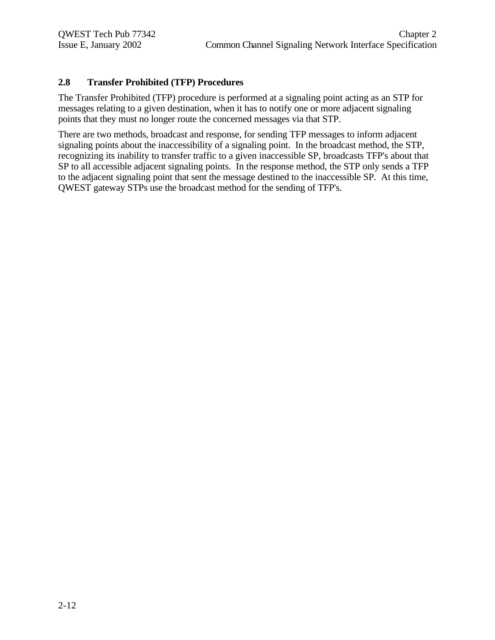#### **2.8 Transfer Prohibited (TFP) Procedures**

The Transfer Prohibited (TFP) procedure is performed at a signaling point acting as an STP for messages relating to a given destination, when it has to notify one or more adjacent signaling points that they must no longer route the concerned messages via that STP.

There are two methods, broadcast and response, for sending TFP messages to inform adjacent signaling points about the inaccessibility of a signaling point. In the broadcast method, the STP, recognizing its inability to transfer traffic to a given inaccessible SP, broadcasts TFP's about that SP to all accessible adjacent signaling points. In the response method, the STP only sends a TFP to the adjacent signaling point that sent the message destined to the inaccessible SP. At this time, QWEST gateway STPs use the broadcast method for the sending of TFP's.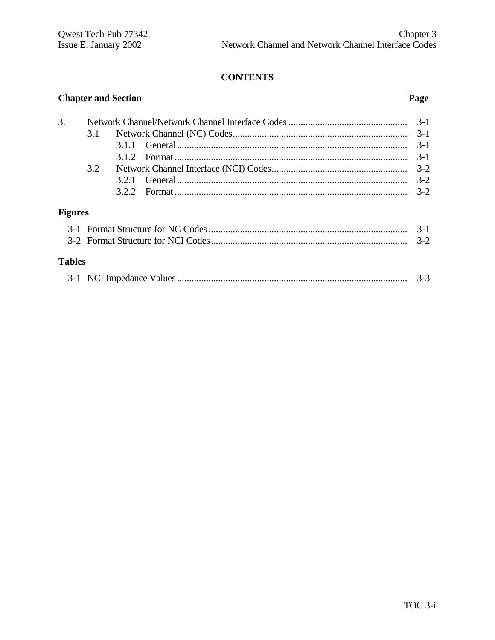#### **CONTENTS**

# **Chapter and Section Page** 3. Network Channel/Network Channel Interface Codes................................................. 3-1 3.1 Network Channel (NC) Codes........................................................................ 3-1 3.1.1 General............................................................................................... 3-1 3.1.2 Format ................................................................................................ 3-1 3.2 Network Channel Interface (NCI) Codes........................................................ 3-2 3.2.1 General............................................................................................... 3-2 3.2.2 Format ................................................................................................ 3-2 **Figures** 3-1 Format Structure for NC Codes.................................................................................. 3-1

| <b>Tables</b> |  |
|---------------|--|
|               |  |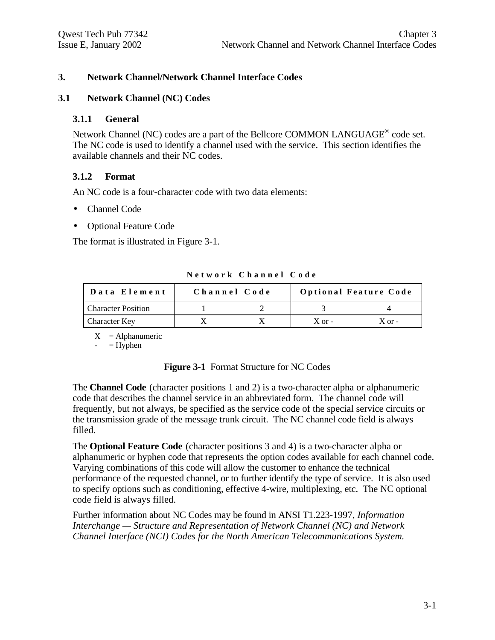#### **3. Network Channel/Network Channel Interface Codes**

#### **3.1 Network Channel (NC) Codes**

#### **3.1.1 General**

Network Channel (NC) codes are a part of the Bellcore COMMON LANGUAGE<sup>®</sup> code set. The NC code is used to identify a channel used with the service. This section identifies the available channels and their NC codes.

#### **3.1.2 Format**

An NC code is a four-character code with two data elements:

- Channel Code
- Optional Feature Code

The format is illustrated in Figure 3-1.

| Data Element              | Channel Code |            | <b>Optional Feature Code</b> |
|---------------------------|--------------|------------|------------------------------|
| <b>Character Position</b> |              |            |                              |
| Character Key             |              | $X$ or $-$ | $X$ or $-$                   |

**Network Channel Code**

 $X =$ Alphanumeric

 $=$  Hyphen

#### **Figure 3-1** Format Structure for NC Codes

The **Channel Code** (character positions 1 and 2) is a two-character alpha or alphanumeric code that describes the channel service in an abbreviated form. The channel code will frequently, but not always, be specified as the service code of the special service circuits or the transmission grade of the message trunk circuit. The NC channel code field is always filled.

The **Optional Feature Code** (character positions 3 and 4) is a two-character alpha or alphanumeric or hyphen code that represents the option codes available for each channel code. Varying combinations of this code will allow the customer to enhance the technical performance of the requested channel, or to further identify the type of service. It is also used to specify options such as conditioning, effective 4-wire, multiplexing, etc. The NC optional code field is always filled.

Further information about NC Codes may be found in ANSI T1.223-1997, *Information Interchange — Structure and Representation of Network Channel (NC) and Network Channel Interface (NCI) Codes for the North American Telecommunications System.*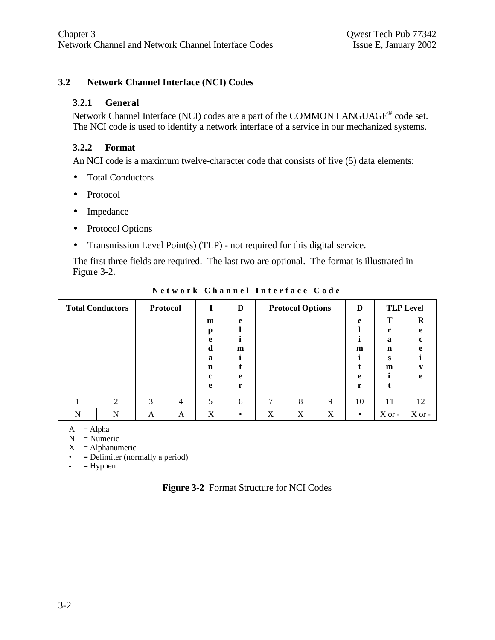#### **3.2 Network Channel Interface (NCI) Codes**

#### **3.2.1 General**

Network Channel Interface (NCI) codes are a part of the COMMON LANGUAGE<sup>®</sup> code set. The NCI code is used to identify a network interface of a service in our mechanized systems.

#### **3.2.2 Format**

An NCI code is a maximum twelve-character code that consists of five (5) data elements:

- Total Conductors
- Protocol
- Impedance
- Protocol Options
- Transmission Level Point(s) (TLP) not required for this digital service.

The first three fields are required. The last two are optional. The format is illustrated in Figure 3-2.

|   | <b>Total Conductors</b> |   | Protocol | 1                | D |   | <b>Protocol Options</b> |   | D         |          | <b>TLP Level</b> |
|---|-------------------------|---|----------|------------------|---|---|-------------------------|---|-----------|----------|------------------|
|   |                         |   |          | m                | e |   |                         |   | e         | T        | R                |
|   |                         |   |          | р<br>e           |   |   |                         |   |           | r<br>a   | e<br>c           |
|   |                         |   |          | d                | m |   |                         |   | m         | n        | A                |
|   |                         |   |          | a<br>$\mathbf n$ |   |   |                         |   |           | s<br>m   |                  |
|   |                         |   |          | c                | e |   |                         |   | e         |          | e                |
|   |                         |   |          | e                | r |   |                         |   | r         |          |                  |
|   | ◠                       | 3 | 4        | 5                | 6 | 7 | 8                       | 9 | 10        | 11       | 12               |
| N | N                       | A | A        | X                |   | X | X                       | X | $\bullet$ | $X$ or - | $X$ or -         |

**Network Channel Interface Code**

 $A = Alpha$ 

 $N =$  Numeric

 $X =$ Alphanumeric

 $\bullet$  = Delimiter (normally a period)

 $-$  = Hyphen

|  | Figure 3-2 Format Structure for NCI Codes |  |  |
|--|-------------------------------------------|--|--|
|--|-------------------------------------------|--|--|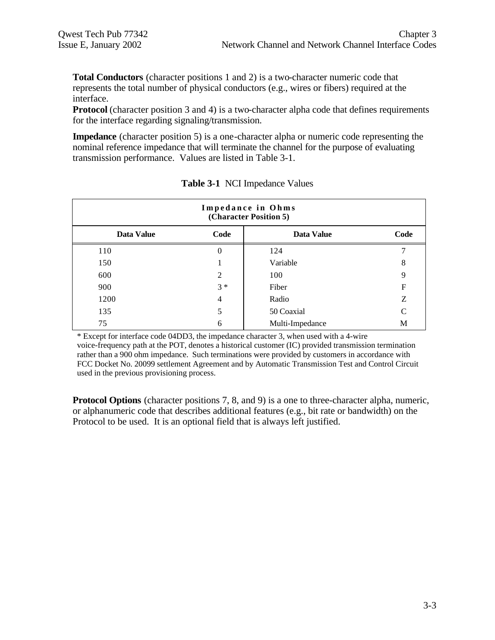**Total Conductors** (character positions 1 and 2) is a two-character numeric code that represents the total number of physical conductors (e.g., wires or fibers) required at the interface.

**Protocol** (character position 3 and 4) is a two-character alpha code that defines requirements for the interface regarding signaling/transmission.

**Impedance** (character position 5) is a one-character alpha or numeric code representing the nominal reference impedance that will terminate the channel for the purpose of evaluating transmission performance. Values are listed in Table 3-1.

| Impedance in Ohms<br>(Character Position 5) |                |                 |               |  |  |  |
|---------------------------------------------|----------------|-----------------|---------------|--|--|--|
| Data Value                                  | Code           | Data Value      | Code          |  |  |  |
| 110                                         | 0              | 124             |               |  |  |  |
| 150                                         |                | Variable        | 8             |  |  |  |
| 600                                         | $\mathfrak{D}$ | 100             | 9             |  |  |  |
| 900                                         | $3 *$          | Fiber           | F             |  |  |  |
| 1200                                        | 4              | Radio           | Z             |  |  |  |
| 135                                         | 5              | 50 Coaxial      | $\mathcal{C}$ |  |  |  |
| 75                                          | 6              | Multi-Impedance | M             |  |  |  |

| <b>Table 3-1 NCI Impedance Values</b> |  |  |  |  |
|---------------------------------------|--|--|--|--|
|---------------------------------------|--|--|--|--|

\* Except for interface code 04DD3, the impedance character 3, when used with a 4-wire voice-frequency path at the POT, denotes a historical customer (IC) provided transmission termination rather than a 900 ohm impedance. Such terminations were provided by customers in accordance with FCC Docket No. 20099 settlement Agreement and by Automatic Transmission Test and Control Circuit used in the previous provisioning process.

**Protocol Options** (character positions 7, 8, and 9) is a one to three-character alpha, numeric, or alphanumeric code that describes additional features (e.g., bit rate or bandwidth) on the Protocol to be used. It is an optional field that is always left justified.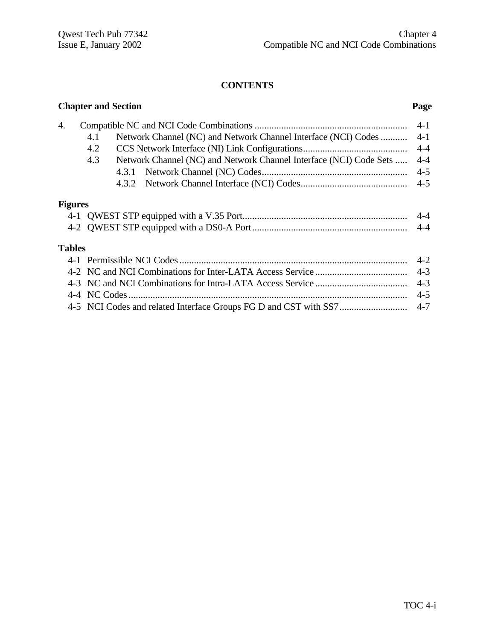#### **CONTENTS**

|                | <b>Chapter and Section</b> |                                                                    | Page    |
|----------------|----------------------------|--------------------------------------------------------------------|---------|
| 4.             |                            |                                                                    | $4 - 1$ |
|                | 4.1                        | Network Channel (NC) and Network Channel Interface (NCI) Codes     | $4 - 1$ |
|                | 4.2                        |                                                                    | $4 - 4$ |
|                | 4.3                        | Network Channel (NC) and Network Channel Interface (NCI) Code Sets | $4 - 4$ |
|                |                            |                                                                    | $4 - 5$ |
|                |                            |                                                                    | $4 - 5$ |
| <b>Figures</b> |                            |                                                                    |         |
|                |                            |                                                                    | $4 - 4$ |
|                |                            |                                                                    | $4 - 4$ |
| <b>Tables</b>  |                            |                                                                    |         |
|                |                            |                                                                    | $4 - 2$ |
|                |                            |                                                                    | $4 - 3$ |
|                |                            |                                                                    | $4 - 3$ |
|                |                            |                                                                    | $4 - 5$ |
|                |                            |                                                                    | $4 - 7$ |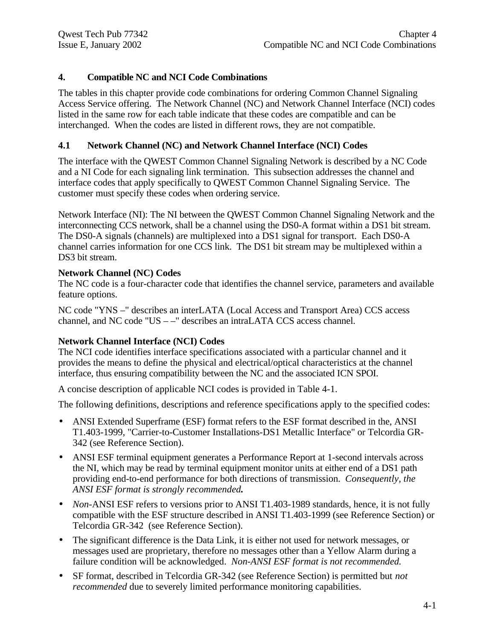#### **4. Compatible NC and NCI Code Combinations**

The tables in this chapter provide code combinations for ordering Common Channel Signaling Access Service offering. The Network Channel (NC) and Network Channel Interface (NCI) codes listed in the same row for each table indicate that these codes are compatible and can be interchanged. When the codes are listed in different rows, they are not compatible.

#### **4.1 Network Channel (NC) and Network Channel Interface (NCI) Codes**

The interface with the QWEST Common Channel Signaling Network is described by a NC Code and a NI Code for each signaling link termination. This subsection addresses the channel and interface codes that apply specifically to QWEST Common Channel Signaling Service. The customer must specify these codes when ordering service.

Network Interface (NI): The NI between the QWEST Common Channel Signaling Network and the interconnecting CCS network, shall be a channel using the DS0-A format within a DS1 bit stream. The DS0-A signals (channels) are multiplexed into a DS1 signal for transport. Each DS0-A channel carries information for one CCS link. The DS1 bit stream may be multiplexed within a DS3 bit stream.

#### **Network Channel (NC) Codes**

The NC code is a four-character code that identifies the channel service, parameters and available feature options.

NC code "YNS –" describes an interLATA (Local Access and Transport Area) CCS access channel, and NC code "US – –" describes an intraLATA CCS access channel.

#### **Network Channel Interface (NCI) Codes**

The NCI code identifies interface specifications associated with a particular channel and it provides the means to define the physical and electrical/optical characteristics at the channel interface, thus ensuring compatibility between the NC and the associated ICN SPOI.

A concise description of applicable NCI codes is provided in Table 4-1.

The following definitions, descriptions and reference specifications apply to the specified codes:

- ANSI Extended Superframe (ESF) format refers to the ESF format described in the, ANSI T1.403-1999, "Carrier-to-Customer Installations-DS1 Metallic Interface" or Telcordia GR-342 (see Reference Section).
- ANSI ESF terminal equipment generates a Performance Report at 1-second intervals across the NI, which may be read by terminal equipment monitor units at either end of a DS1 path providing end-to-end performance for both directions of transmission. *Consequently, the ANSI ESF format is strongly recommended.*
- *Non-ANSI ESF refers to versions prior to ANSI T1.403-1989 standards, hence, it is not fully* compatible with the ESF structure described in ANSI T1.403-1999 (see Reference Section) or Telcordia GR-342 (see Reference Section).
- The significant difference is the Data Link, it is either not used for network messages, or messages used are proprietary, therefore no messages other than a Yellow Alarm during a failure condition will be acknowledged. *Non-ANSI ESF format is not recommended.*
- SF format, described in Telcordia GR-342 (see Reference Section) is permitted but *not recommended* due to severely limited performance monitoring capabilities.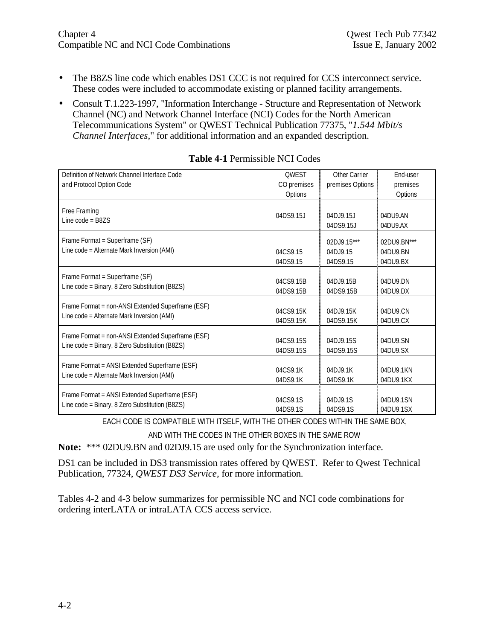- The B8ZS line code which enables DS1 CCC is not required for CCS interconnect service. These codes were included to accommodate existing or planned facility arrangements.
- Consult T.1.223-1997, "Information Interchange Structure and Representation of Network Channel (NC) and Network Channel Interface (NCI) Codes for the North American Telecommunications System" or QWEST Technical Publication 77375, "*1.544 Mbit/s Channel Interfaces*," for additional information and an expanded description.

| Definition of Network Channel Interface Code                                                        | <b>OWEST</b>           | Other Carrier                        | End-user                            |
|-----------------------------------------------------------------------------------------------------|------------------------|--------------------------------------|-------------------------------------|
| and Protocol Option Code                                                                            | CO premises            | premises Options                     | premises                            |
|                                                                                                     | Options                |                                      | Options                             |
| Free Framing<br>Line code = $B8ZS$                                                                  | 04DS9.15J              | $04D.19.15$ .                        | 04DU9.AN                            |
|                                                                                                     |                        | 04DS9.15J                            | 04DU9.AX                            |
| Frame Format = Superframe (SF)<br>Line code = Alternate Mark Inversion (AMI)                        | 04CS9.15<br>04DS9.15   | 02DJ9.15***<br>04D.J9.15<br>04DS9.15 | 02DU9.BN***<br>04DU9.BN<br>04DU9.BX |
| Frame Format = Superframe (SF)<br>Line code = Binary, 8 Zero Substitution (B8ZS)                    | 04CS9.15B<br>04DS9.15B | 04D.J9.15B<br>04DS9.15B              | 04DU9.DN<br>04DU9.DX                |
| Frame Format = non-ANSI Extended Superframe (ESF)<br>Line code = Alternate Mark Inversion (AMI)     | 04CS9.15K<br>04DS9.15K | 04D.J9.15K<br>04DS9.15K              | 04DU9.CN<br>04DU9.CX                |
| Frame Format = non-ANSI Extended Superframe (ESF)<br>Line code = Binary, 8 Zero Substitution (B8ZS) | 04CS9.15S<br>04DS9.15S | 04DJ9.15S<br>04DS9.15S               | 04DU9.SN<br>04DU9.SX                |
| Frame Format = ANSI Extended Superframe (ESF)<br>Line code = Alternate Mark Inversion (AMI)         | 04CS9.1K<br>04DS9.1K   | 04D 19.1K<br>04DS9.1K                | 04DU9.1KN<br>04DU9.1KX              |
| Frame Format = ANSI Extended Superframe (ESF)<br>Line code = Binary, 8 Zero Substitution (B8ZS)     | 04CS9.1S<br>04DS9.1S   | 04D.J9.1S<br>04DS9.1S                | 04DU9.1SN<br>04DU9.1SX              |

|  | <b>Table 4-1 Permissible NCI Codes</b> |  |
|--|----------------------------------------|--|
|--|----------------------------------------|--|

EACH CODE IS COMPATIBLE WITH ITSELF, WITH THE OTHER CODES WITHIN THE SAME BOX, AND WITH THE CODES IN THE OTHER BOXES IN THE SAME ROW

**Note:** \*\*\* 02DU9.BN and 02DJ9.15 are used only for the Synchronization interface.

DS1 can be included in DS3 transmission rates offered by QWEST. Refer to Qwest Technical Publication, 77324, *QWEST DS3 Service,* for more information.

Tables 4-2 and 4-3 below summarizes for permissible NC and NCI code combinations for ordering interLATA or intraLATA CCS access service.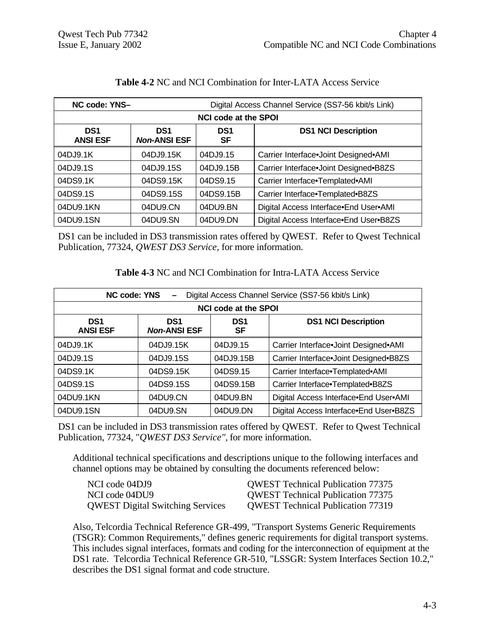| NC code: YNS-                      | Digital Access Channel Service (SS7-56 kbit/s Link) |                       |                                        |  |  |  |
|------------------------------------|-----------------------------------------------------|-----------------------|----------------------------------------|--|--|--|
|                                    | <b>NCI code at the SPOI</b>                         |                       |                                        |  |  |  |
| DS <sub>1</sub><br><b>ANSI ESF</b> | DS <sub>1</sub><br><b>Non-ANSI ESF</b>              | DS <sub>1</sub><br>SF | <b>DS1 NCI Description</b>             |  |  |  |
| 04DJ9.1K                           | 04DJ9.15K                                           | 04DJ9.15              | Carrier Interface.Joint Designed.AMI   |  |  |  |
| 04DJ9.1S                           | 04DJ9.15S                                           | 04DJ9.15B             | Carrier Interface.Joint Designed.B8ZS  |  |  |  |
| 04DS9.1K                           | 04DS9.15K                                           | 04DS9.15              | Carrier Interface.Templated.AMI        |  |  |  |
| 04DS9.1S                           | 04DS9.15S                                           | 04DS9.15B             | Carrier Interface.Templated.B8ZS       |  |  |  |
| 04DU9.1KN                          | 04DU9.CN                                            | 04DU9.BN              | Digital Access Interface End User AMI  |  |  |  |
| 04DU9.1SN                          | 04DU9.SN                                            | 04DU9.DN              | Digital Access Interface.End User.B8ZS |  |  |  |

#### **Table 4-2** NC and NCI Combination for Inter-LATA Access Service

DS1 can be included in DS3 transmission rates offered by QWEST. Refer to Qwest Technical Publication, 77324, *QWEST DS3 Service,* for more information.

| <b>Table 4-3 NC and NCI Combination for Intra-LATA Access Service</b> |  |
|-----------------------------------------------------------------------|--|
|-----------------------------------------------------------------------|--|

| Digital Access Channel Service (SS7-56 kbit/s Link)<br><b>NC code: YNS</b> |                                        |                       |                                        |  |  |
|----------------------------------------------------------------------------|----------------------------------------|-----------------------|----------------------------------------|--|--|
|                                                                            | <b>NCI code at the SPOI</b>            |                       |                                        |  |  |
| DS <sub>1</sub><br><b>ANSI ESF</b>                                         | DS <sub>1</sub><br><b>Non-ANSI ESF</b> | DS <sub>1</sub><br>SF | <b>DS1 NCI Description</b>             |  |  |
| 04DJ9.1K                                                                   | 04DJ9.15K                              | 04DJ9.15              | Carrier Interface.Joint Designed.AMI   |  |  |
| 04DJ9.1S                                                                   | 04DJ9.15S                              | 04DJ9.15B             | Carrier Interface.Joint Designed.B8ZS  |  |  |
| 04DS9.1K                                                                   | 04DS9.15K                              | 04DS9.15              | Carrier Interface.Templated.AMI        |  |  |
| 04DS9.1S                                                                   | 04DS9.15S                              | 04DS9.15B             | Carrier Interface.Templated.B8ZS       |  |  |
| 04DU9.1KN                                                                  | 04DU9.CN                               | 04DU9.BN              | Digital Access Interface.End User.AMI  |  |  |
| 04DU9.1SN                                                                  | 04DU9.SN                               | 04DU9.DN              | Digital Access Interface.End User.B8ZS |  |  |

DS1 can be included in DS3 transmission rates offered by QWEST. Refer to Qwest Technical Publication, 77324, "*QWEST DS3 Service",* for more information.

Additional technical specifications and descriptions unique to the following interfaces and channel options may be obtained by consulting the documents referenced below:

| NCI code 04DJ9                          | <b>OWEST Technical Publication 77375</b> |
|-----------------------------------------|------------------------------------------|
| NCI code 04DU9                          | <b>OWEST Technical Publication 77375</b> |
| <b>QWEST Digital Switching Services</b> | <b>OWEST Technical Publication 77319</b> |

Also, Telcordia Technical Reference GR-499, "Transport Systems Generic Requirements (TSGR): Common Requirements," defines generic requirements for digital transport systems. This includes signal interfaces, formats and coding for the interconnection of equipment at the DS1 rate. Telcordia Technical Reference GR-510, "LSSGR: System Interfaces Section 10.2," describes the DS1 signal format and code structure.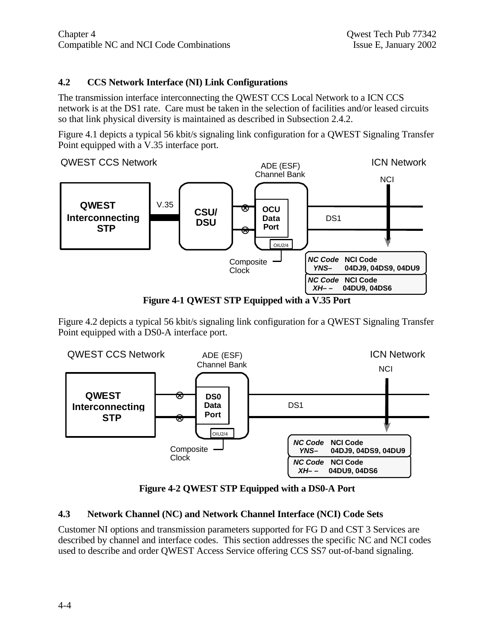#### **4.2 CCS Network Interface (NI) Link Configurations**

The transmission interface interconnecting the QWEST CCS Local Network to a ICN CCS network is at the DS1 rate. Care must be taken in the selection of facilities and/or leased circuits so that link physical diversity is maintained as described in Subsection 2.4.2.

Figure 4.1 depicts a typical 56 kbit/s signaling link configuration for a QWEST Signaling Transfer Point equipped with a V.35 interface port.



**Figure 4-1 QWEST STP Equipped with a V.35 Port**

Figure 4.2 depicts a typical 56 kbit/s signaling link configuration for a QWEST Signaling Transfer Point equipped with a DS0-A interface port.



**Figure 4-2 QWEST STP Equipped with a DS0-A Port**

#### **4.3 Network Channel (NC) and Network Channel Interface (NCI) Code Sets**

Customer NI options and transmission parameters supported for FG D and CST 3 Services are described by channel and interface codes. This section addresses the specific NC and NCI codes used to describe and order QWEST Access Service offering CCS SS7 out-of-band signaling.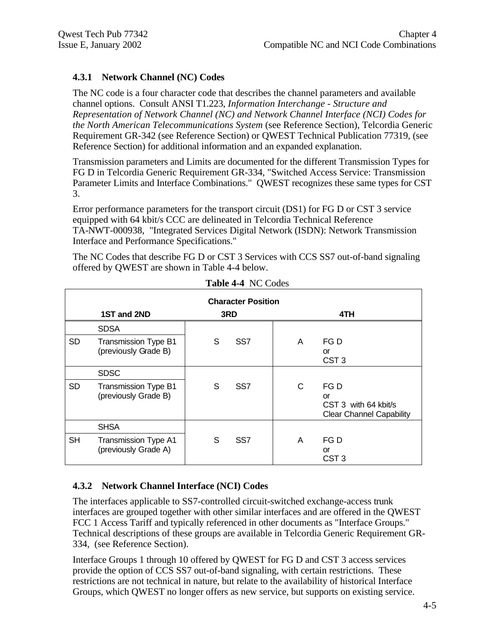#### **4.3.1 Network Channel (NC) Codes**

The NC code is a four character code that describes the channel parameters and available channel options. Consult ANSI T1.223, *Information Interchange - Structure and Representation of Network Channel (NC) and Network Channel Interface (NCI) Codes for the North American Telecommunications System* (see Reference Section), Telcordia Generic Requirement GR-342 (see Reference Section) or QWEST Technical Publication 77319, (see Reference Section) for additional information and an expanded explanation.

Transmission parameters and Limits are documented for the different Transmission Types for FG D in Telcordia Generic Requirement GR-334, "Switched Access Service: Transmission Parameter Limits and Interface Combinations." QWEST recognizes these same types for CST 3.

Error performance parameters for the transport circuit (DS1) for FG D or CST 3 service equipped with 64 kbit/s CCC are delineated in Telcordia Technical Reference TA-NWT-000938, "Integrated Services Digital Network (ISDN): Network Transmission Interface and Performance Specifications."

The NC Codes that describe FG D or CST 3 Services with CCS SS7 out-of-band signaling offered by QWEST are shown in Table 4-4 below.

|           | <b>Character Position</b>                           |   |                 |   |                                                                       |  |  |
|-----------|-----------------------------------------------------|---|-----------------|---|-----------------------------------------------------------------------|--|--|
|           | 1ST and 2ND                                         |   | 3RD             |   | 4TH                                                                   |  |  |
|           | <b>SDSA</b>                                         |   |                 |   |                                                                       |  |  |
| <b>SD</b> | Transmission Type B1<br>(previously Grade B)        | S | SS <sub>7</sub> | A | FG D<br>or<br>CST <sub>3</sub>                                        |  |  |
|           | <b>SDSC</b>                                         |   |                 |   |                                                                       |  |  |
| <b>SD</b> | <b>Transmission Type B1</b><br>(previously Grade B) | S | SS <sub>7</sub> | С | FG D<br>or<br>CST 3 with 64 kbit/s<br><b>Clear Channel Capability</b> |  |  |
|           | <b>SHSA</b>                                         |   |                 |   |                                                                       |  |  |
| <b>SH</b> | <b>Transmission Type A1</b><br>(previously Grade A) | S | SS <sub>7</sub> | A | FG D<br>or<br>CST <sub>3</sub>                                        |  |  |

**Table 4-4** NC Codes

#### **4.3.2 Network Channel Interface (NCI) Codes**

The interfaces applicable to SS7-controlled circuit-switched exchange-access trunk interfaces are grouped together with other similar interfaces and are offered in the QWEST FCC 1 Access Tariff and typically referenced in other documents as "Interface Groups." Technical descriptions of these groups are available in Telcordia Generic Requirement GR-334, (see Reference Section).

Interface Groups 1 through 10 offered by QWEST for FG D and CST 3 access services provide the option of CCS SS7 out-of-band signaling, with certain restrictions. These restrictions are not technical in nature, but relate to the availability of historical Interface Groups, which QWEST no longer offers as new service, but supports on existing service.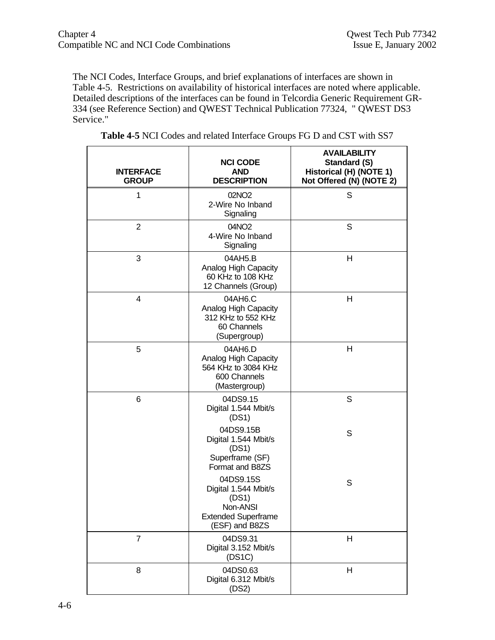The NCI Codes, Interface Groups, and brief explanations of interfaces are shown in Table 4-5. Restrictions on availability of historical interfaces are noted where applicable. Detailed descriptions of the interfaces can be found in Telcordia Generic Requirement GR-334 (see Reference Section) and QWEST Technical Publication 77324, " QWEST DS3 Service."

| <b>INTERFACE</b><br><b>GROUP</b> | <b>NCI CODE</b><br><b>AND</b><br><b>DESCRIPTION</b>                                                    | <b>AVAILABILITY</b><br><b>Standard (S)</b><br>Historical (H) (NOTE 1)<br>Not Offered (N) (NOTE 2) |
|----------------------------------|--------------------------------------------------------------------------------------------------------|---------------------------------------------------------------------------------------------------|
| 1                                | 02NO <sub>2</sub><br>2-Wire No Inband<br>Signaling                                                     | S                                                                                                 |
| $\overline{2}$                   | 04NO2<br>4-Wire No Inband<br>Signaling                                                                 | S                                                                                                 |
| 3                                | 04AH5.B<br>Analog High Capacity<br>60 KHz to 108 KHz<br>12 Channels (Group)                            | н                                                                                                 |
| 4                                | 04AH6.C<br>Analog High Capacity<br>312 KHz to 552 KHz<br>60 Channels<br>(Supergroup)                   | н                                                                                                 |
| 5                                | 04AH6.D<br>Analog High Capacity<br>564 KHz to 3084 KHz<br>600 Channels<br>(Mastergroup)                | Η                                                                                                 |
| 6                                | 04DS9.15<br>Digital 1.544 Mbit/s<br>(DS1)                                                              | S                                                                                                 |
|                                  | 04DS9.15B<br>Digital 1.544 Mbit/s<br>(DS1)<br>Superframe (SF)<br>Format and B8ZS                       | S                                                                                                 |
|                                  | 04DS9.15S<br>Digital 1.544 Mbit/s<br>(DS1)<br>Non-ANSI<br><b>Extended Superframe</b><br>(ESF) and B8ZS | S                                                                                                 |
| $\overline{7}$                   | 04DS9.31<br>Digital 3.152 Mbit/s<br>(DS1C)                                                             | Η                                                                                                 |
| 8                                | 04DS0.63<br>Digital 6.312 Mbit/s<br>(DS2)                                                              | Η                                                                                                 |

| Table 4-5 NCI Codes and related Interface Groups FG D and CST with SS7 |  |
|------------------------------------------------------------------------|--|
|------------------------------------------------------------------------|--|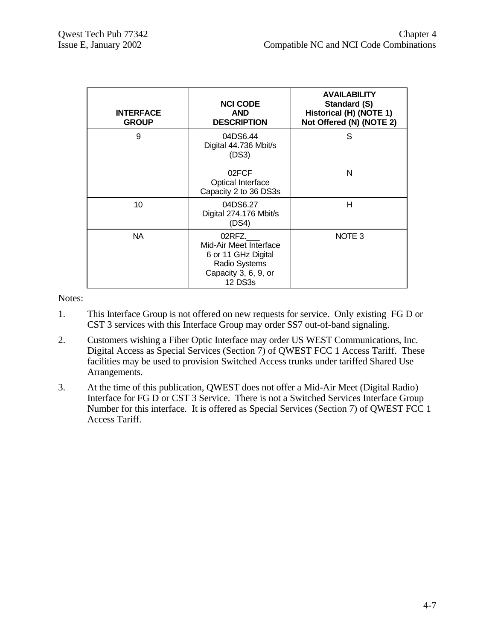| <b>INTERFACE</b><br><b>GROUP</b> | <b>NCI CODE</b><br><b>AND</b><br><b>DESCRIPTION</b>                                                                | <b>AVAILABILITY</b><br>Standard (S)<br>Historical (H) (NOTE 1)<br>Not Offered (N) (NOTE 2) |
|----------------------------------|--------------------------------------------------------------------------------------------------------------------|--------------------------------------------------------------------------------------------|
| 9                                | 04DS6.44<br>Digital 44.736 Mbit/s<br>(DS3)                                                                         | S                                                                                          |
|                                  | 02FCF<br>Optical Interface<br>Capacity 2 to 36 DS3s                                                                | N                                                                                          |
| 10                               | 04DS6.27<br>Digital 274.176 Mbit/s<br>(DS4)                                                                        | н                                                                                          |
| NA.                              | 02RFZ.<br>Mid-Air Meet Interface<br>6 or 11 GHz Digital<br>Radio Systems<br>Capacity 3, 6, 9, or<br><b>12 DS3s</b> | NOTE <sub>3</sub>                                                                          |

Notes:

- 1. This Interface Group is not offered on new requests for service. Only existing FG D or CST 3 services with this Interface Group may order SS7 out-of-band signaling.
- 2. Customers wishing a Fiber Optic Interface may order US WEST Communications, Inc. Digital Access as Special Services (Section 7) of QWEST FCC 1 Access Tariff. These facilities may be used to provision Switched Access trunks under tariffed Shared Use Arrangements.
- 3. At the time of this publication, QWEST does not offer a Mid-Air Meet (Digital Radio) Interface for FG D or CST 3 Service. There is not a Switched Services Interface Group Number for this interface. It is offered as Special Services (Section 7) of QWEST FCC 1 Access Tariff.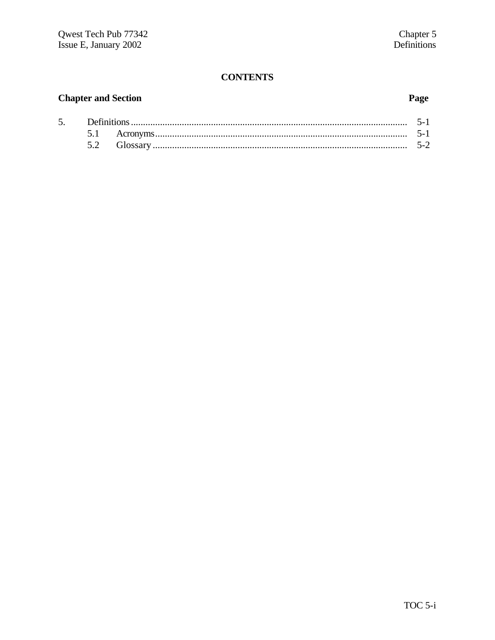# **CONTENTS**

#### **Chapter and Section**

5.

#### Page

| Definitions. |  |
|--------------|--|
|              |  |
|              |  |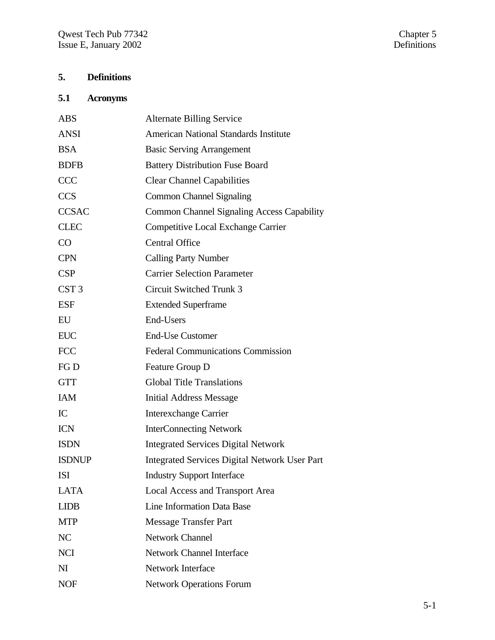# **5. Definitions**

# **5.1 Acronyms**

| <b>ABS</b>       | <b>Alternate Billing Service</b>                     |
|------------------|------------------------------------------------------|
| <b>ANSI</b>      | <b>American National Standards Institute</b>         |
| <b>BSA</b>       | <b>Basic Serving Arrangement</b>                     |
| <b>BDFB</b>      | <b>Battery Distribution Fuse Board</b>               |
| <b>CCC</b>       | <b>Clear Channel Capabilities</b>                    |
| <b>CCS</b>       | <b>Common Channel Signaling</b>                      |
| <b>CCSAC</b>     | <b>Common Channel Signaling Access Capability</b>    |
| <b>CLEC</b>      | <b>Competitive Local Exchange Carrier</b>            |
| CO               | <b>Central Office</b>                                |
| <b>CPN</b>       | <b>Calling Party Number</b>                          |
| CSP              | <b>Carrier Selection Parameter</b>                   |
| CST <sub>3</sub> | <b>Circuit Switched Trunk 3</b>                      |
| <b>ESF</b>       | <b>Extended Superframe</b>                           |
| EU               | End-Users                                            |
| <b>EUC</b>       | <b>End-Use Customer</b>                              |
| <b>FCC</b>       | <b>Federal Communications Commission</b>             |
| FG D             | Feature Group D                                      |
| <b>GTT</b>       | <b>Global Title Translations</b>                     |
| <b>IAM</b>       | <b>Initial Address Message</b>                       |
| IC               | <b>Interexchange Carrier</b>                         |
| <b>ICN</b>       | <b>InterConnecting Network</b>                       |
| <b>ISDN</b>      | <b>Integrated Services Digital Network</b>           |
| <b>ISDNUP</b>    | <b>Integrated Services Digital Network User Part</b> |
| ISI              | <b>Industry Support Interface</b>                    |
| <b>LATA</b>      | <b>Local Access and Transport Area</b>               |
| <b>LIDB</b>      | Line Information Data Base                           |
| <b>MTP</b>       | <b>Message Transfer Part</b>                         |
| NC               | <b>Network Channel</b>                               |
| <b>NCI</b>       | <b>Network Channel Interface</b>                     |
| N <sub>I</sub>   | <b>Network Interface</b>                             |
| <b>NOF</b>       | <b>Network Operations Forum</b>                      |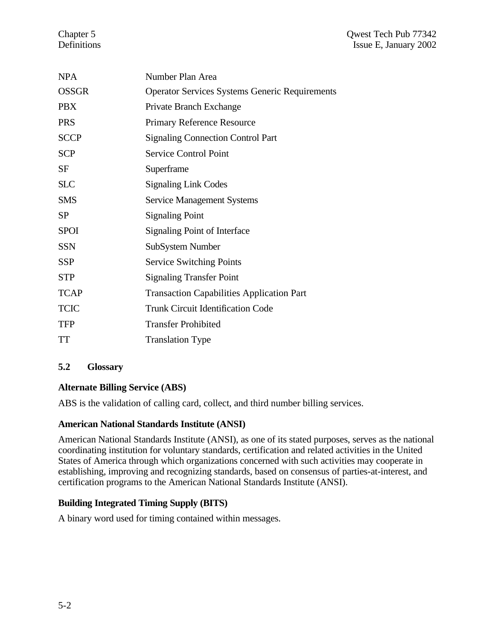| <b>NPA</b>   | Number Plan Area                                      |
|--------------|-------------------------------------------------------|
| <b>OSSGR</b> | <b>Operator Services Systems Generic Requirements</b> |
| <b>PBX</b>   | Private Branch Exchange                               |
| <b>PRS</b>   | <b>Primary Reference Resource</b>                     |
| <b>SCCP</b>  | <b>Signaling Connection Control Part</b>              |
| <b>SCP</b>   | Service Control Point                                 |
| SF           | Superframe                                            |
| <b>SLC</b>   | <b>Signaling Link Codes</b>                           |
| <b>SMS</b>   | <b>Service Management Systems</b>                     |
| <b>SP</b>    | <b>Signaling Point</b>                                |
| <b>SPOI</b>  | Signaling Point of Interface                          |
| <b>SSN</b>   | SubSystem Number                                      |
| SSP          | <b>Service Switching Points</b>                       |
| <b>STP</b>   | <b>Signaling Transfer Point</b>                       |
| <b>TCAP</b>  | <b>Transaction Capabilities Application Part</b>      |
| <b>TCIC</b>  | <b>Trunk Circuit Identification Code</b>              |
| <b>TFP</b>   | <b>Transfer Prohibited</b>                            |
| TT           | <b>Translation Type</b>                               |

#### **5.2 Glossary**

#### **Alternate Billing Service (ABS)**

ABS is the validation of calling card, collect, and third number billing services.

#### **American National Standards Institute (ANSI)**

American National Standards Institute (ANSI), as one of its stated purposes, serves as the national coordinating institution for voluntary standards, certification and related activities in the United States of America through which organizations concerned with such activities may cooperate in establishing, improving and recognizing standards, based on consensus of parties-at-interest, and certification programs to the American National Standards Institute (ANSI).

#### **Building Integrated Timing Supply (BITS)**

A binary word used for timing contained within messages.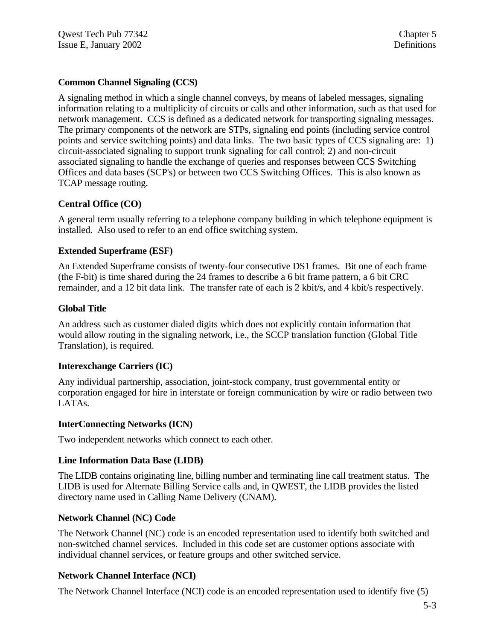#### **Common Channel Signaling (CCS)**

A signaling method in which a single channel conveys, by means of labeled messages, signaling information relating to a multiplicity of circuits or calls and other information, such as that used for network management. CCS is defined as a dedicated network for transporting signaling messages. The primary components of the network are STPs, signaling end points (including service control points and service switching points) and data links. The two basic types of CCS signaling are: 1) circuit-associated signaling to support trunk signaling for call control; 2) and non-circuit associated signaling to handle the exchange of queries and responses between CCS Switching Offices and data bases (SCP's) or between two CCS Switching Offices. This is also known as TCAP message routing.

#### **Central Office (CO)**

A general term usually referring to a telephone company building in which telephone equipment is installed. Also used to refer to an end office switching system.

#### **Extended Superframe (ESF)**

An Extended Superframe consists of twenty-four consecutive DS1 frames. Bit one of each frame (the F-bit) is time shared during the 24 frames to describe a 6 bit frame pattern, a 6 bit CRC remainder, and a 12 bit data link. The transfer rate of each is 2 kbit/s, and 4 kbit/s respectively.

#### **Global Title**

An address such as customer dialed digits which does not explicitly contain information that would allow routing in the signaling network, i.e., the SCCP translation function (Global Title Translation), is required.

#### **Interexchange Carriers (IC)**

Any individual partnership, association, joint-stock company, trust governmental entity or corporation engaged for hire in interstate or foreign communication by wire or radio between two LATAs.

#### **InterConnecting Networks (ICN)**

Two independent networks which connect to each other.

#### **Line Information Data Base (LIDB)**

The LIDB contains originating line, billing number and terminating line call treatment status. The LIDB is used for Alternate Billing Service calls and, in QWEST, the LIDB provides the listed directory name used in Calling Name Delivery (CNAM).

#### **Network Channel (NC) Code**

The Network Channel (NC) code is an encoded representation used to identify both switched and non-switched channel services. Included in this code set are customer options associate with individual channel services, or feature groups and other switched service.

#### **Network Channel Interface (NCI)**

The Network Channel Interface (NCI) code is an encoded representation used to identify five (5)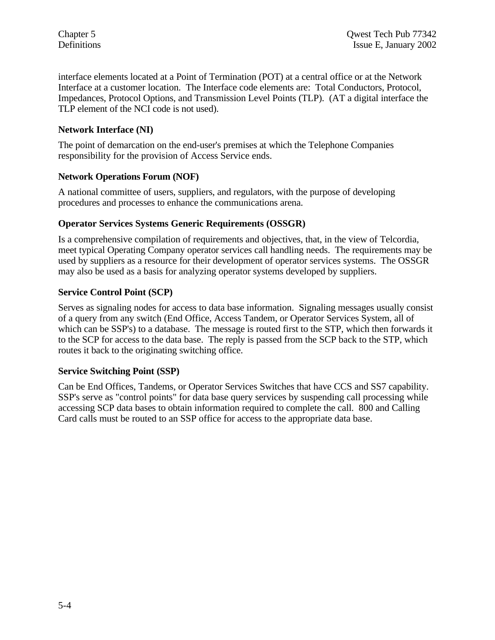interface elements located at a Point of Termination (POT) at a central office or at the Network Interface at a customer location. The Interface code elements are: Total Conductors, Protocol, Impedances, Protocol Options, and Transmission Level Points (TLP). (AT a digital interface the TLP element of the NCI code is not used).

#### **Network Interface (NI)**

The point of demarcation on the end-user's premises at which the Telephone Companies responsibility for the provision of Access Service ends.

#### **Network Operations Forum (NOF)**

A national committee of users, suppliers, and regulators, with the purpose of developing procedures and processes to enhance the communications arena.

#### **Operator Services Systems Generic Requirements (OSSGR)**

Is a comprehensive compilation of requirements and objectives, that, in the view of Telcordia, meet typical Operating Company operator services call handling needs. The requirements may be used by suppliers as a resource for their development of operator services systems. The OSSGR may also be used as a basis for analyzing operator systems developed by suppliers.

#### **Service Control Point (SCP)**

Serves as signaling nodes for access to data base information. Signaling messages usually consist of a query from any switch (End Office, Access Tandem, or Operator Services System, all of which can be SSP's) to a database. The message is routed first to the STP, which then forwards it to the SCP for access to the data base. The reply is passed from the SCP back to the STP, which routes it back to the originating switching office.

#### **Service Switching Point (SSP)**

Can be End Offices, Tandems, or Operator Services Switches that have CCS and SS7 capability. SSP's serve as "control points" for data base query services by suspending call processing while accessing SCP data bases to obtain information required to complete the call. 800 and Calling Card calls must be routed to an SSP office for access to the appropriate data base.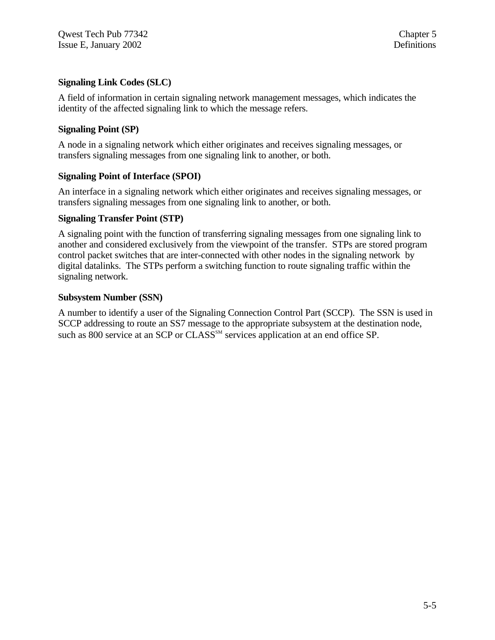#### **Signaling Link Codes (SLC)**

A field of information in certain signaling network management messages, which indicates the identity of the affected signaling link to which the message refers.

#### **Signaling Point (SP)**

A node in a signaling network which either originates and receives signaling messages, or transfers signaling messages from one signaling link to another, or both.

#### **Signaling Point of Interface (SPOI)**

An interface in a signaling network which either originates and receives signaling messages, or transfers signaling messages from one signaling link to another, or both.

#### **Signaling Transfer Point (STP)**

A signaling point with the function of transferring signaling messages from one signaling link to another and considered exclusively from the viewpoint of the transfer. STPs are stored program control packet switches that are inter-connected with other nodes in the signaling network by digital datalinks. The STPs perform a switching function to route signaling traffic within the signaling network.

#### **Subsystem Number (SSN)**

A number to identify a user of the Signaling Connection Control Part (SCCP). The SSN is used in SCCP addressing to route an SS7 message to the appropriate subsystem at the destination node, such as 800 service at an SCP or CLASS<sup>SM</sup> services application at an end office SP.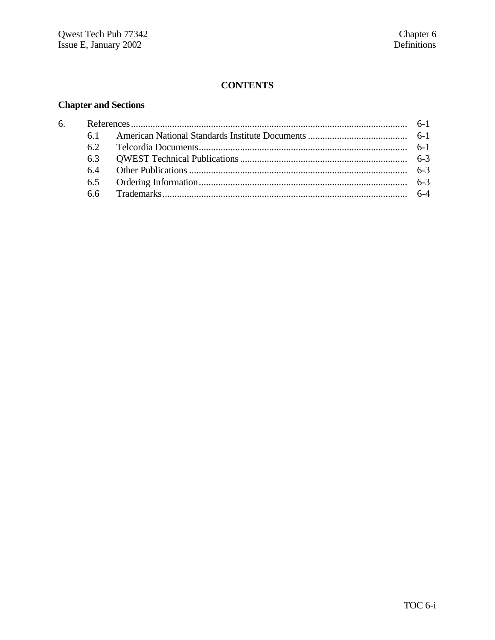#### **CONTENTS**

# **Chapter and Sections**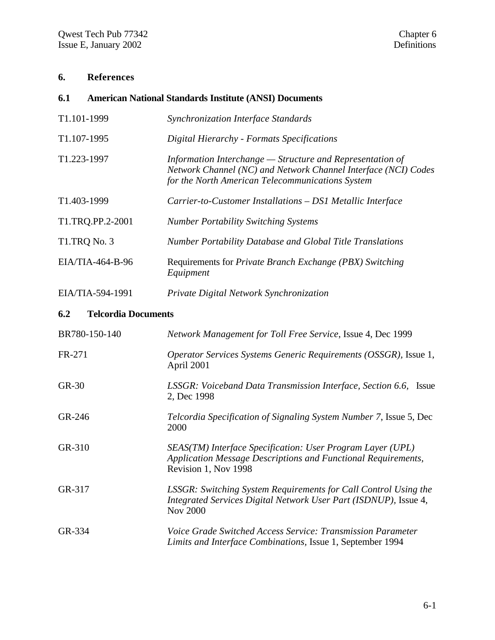### **6. References**

| 6.1         |                            | <b>American National Standards Institute (ANSI) Documents</b>                                                                                                                   |
|-------------|----------------------------|---------------------------------------------------------------------------------------------------------------------------------------------------------------------------------|
| T1.101-1999 |                            | Synchronization Interface Standards                                                                                                                                             |
| T1.107-1995 |                            | Digital Hierarchy - Formats Specifications                                                                                                                                      |
| T1.223-1997 |                            | Information Interchange – Structure and Representation of<br>Network Channel (NC) and Network Channel Interface (NCI) Codes<br>for the North American Telecommunications System |
| T1.403-1999 |                            | Carrier-to-Customer Installations - DS1 Metallic Interface                                                                                                                      |
|             | T1.TRQ.PP.2-2001           | <b>Number Portability Switching Systems</b>                                                                                                                                     |
|             | T1.TRQ No. 3               | Number Portability Database and Global Title Translations                                                                                                                       |
|             | EIA/TIA-464-B-96           | Requirements for Private Branch Exchange (PBX) Switching<br>Equipment                                                                                                           |
|             | EIA/TIA-594-1991           | Private Digital Network Synchronization                                                                                                                                         |
| 6.2         | <b>Telcordia Documents</b> |                                                                                                                                                                                 |
|             | BR780-150-140              | Network Management for Toll Free Service, Issue 4, Dec 1999                                                                                                                     |
| FR-271      |                            | Operator Services Systems Generic Requirements (OSSGR), Issue 1,<br>April 2001                                                                                                  |
| GR-30       |                            | LSSGR: Voiceband Data Transmission Interface, Section 6.6, Issue<br>2, Dec 1998                                                                                                 |
| GR-246      |                            | Telcordia Specification of Signaling System Number 7, Issue 5, Dec<br>2000                                                                                                      |
| GR-310      |                            | SEAS(TM) Interface Specification: User Program Layer (UPL)<br>Application Message Descriptions and Functional Requirements,<br>Revision 1, Nov 1998                             |
| GR-317      |                            | LSSGR: Switching System Requirements for Call Control Using the<br>Integrated Services Digital Network User Part (ISDNUP), Issue 4,<br><b>Nov 2000</b>                          |
| GR-334      |                            | Voice Grade Switched Access Service: Transmission Parameter<br>Limits and Interface Combinations, Issue 1, September 1994                                                       |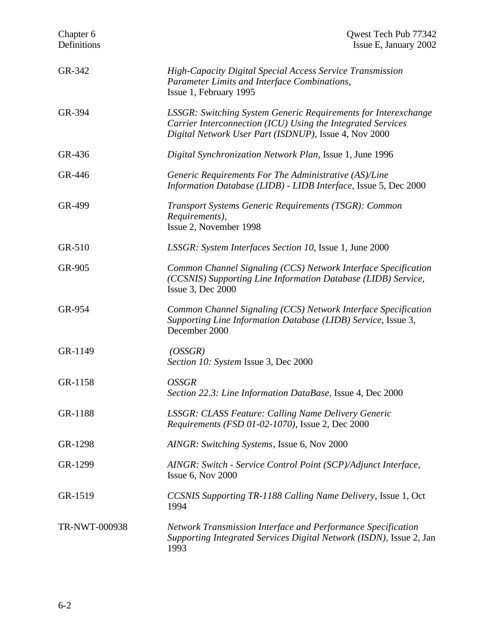| Chapter 6<br>Definitions | Qwest Tech Pub 77342<br>Issue E, January 2002                                                                                                                                                 |  |
|--------------------------|-----------------------------------------------------------------------------------------------------------------------------------------------------------------------------------------------|--|
| GR-342                   | <b>High-Capacity Digital Special Access Service Transmission</b><br>Parameter Limits and Interface Combinations,<br>Issue 1, February 1995                                                    |  |
| GR-394                   | <b>LSSGR: Switching System Generic Requirements for Interexchange</b><br>Carrier Interconnection (ICU) Using the Integrated Services<br>Digital Network User Part (ISDNUP), Issue 4, Nov 2000 |  |
| GR-436                   | Digital Synchronization Network Plan, Issue 1, June 1996                                                                                                                                      |  |
| GR-446                   | Generic Requirements For The Administrative (AS)/Line<br>Information Database (LIDB) - LIDB Interface, Issue 5, Dec 2000                                                                      |  |
| GR-499                   | Transport Systems Generic Requirements (TSGR): Common<br>Requirements),<br>Issue 2, November 1998                                                                                             |  |
| GR-510                   | LSSGR: System Interfaces Section 10, Issue 1, June 2000                                                                                                                                       |  |
| GR-905                   | Common Channel Signaling (CCS) Network Interface Specification<br>(CCSNIS) Supporting Line Information Database (LIDB) Service,<br><b>Issue 3, Dec 2000</b>                                   |  |
| GR-954                   | Common Channel Signaling (CCS) Network Interface Specification<br>Supporting Line Information Database (LIDB) Service, Issue 3,<br>December 2000                                              |  |
| GR-1149                  | (OSSGR)<br>Section 10: System Issue 3, Dec 2000                                                                                                                                               |  |
| GR-1158                  | <b>OSSGR</b><br>Section 22.3: Line Information DataBase, Issue 4, Dec 2000                                                                                                                    |  |
| GR-1188                  | <b>LSSGR: CLASS Feature: Calling Name Delivery Generic</b><br>Requirements (FSD 01-02-1070), Issue 2, Dec 2000                                                                                |  |
| GR-1298                  | AINGR: Switching Systems, Issue 6, Nov 2000                                                                                                                                                   |  |
| GR-1299                  | AINGR: Switch - Service Control Point (SCP)/Adjunct Interface,<br>Issue $6$ , Nov $2000$                                                                                                      |  |
| GR-1519                  | CCSNIS Supporting TR-1188 Calling Name Delivery, Issue 1, Oct<br>1994                                                                                                                         |  |
| TR-NWT-000938            | Network Transmission Interface and Performance Specification<br>Supporting Integrated Services Digital Network (ISDN), Issue 2, Jan<br>1993                                                   |  |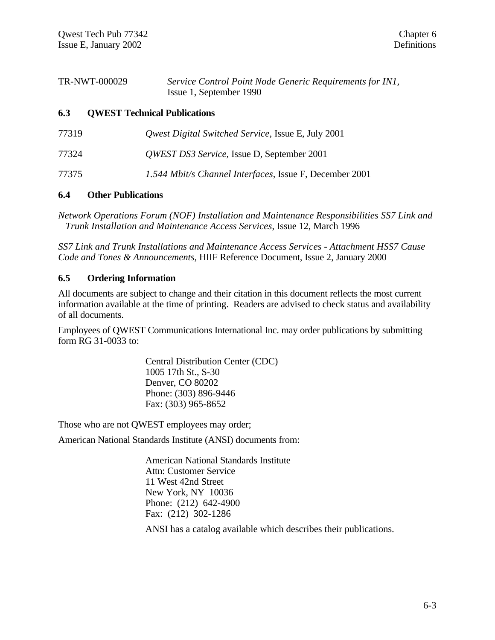| TR-NWT-000029 | Service Control Point Node Generic Requirements for IN1, |
|---------------|----------------------------------------------------------|
|               | Issue 1, September 1990                                  |

#### **6.3 QWEST Technical Publications**

| 77319 | <i>Qwest Digital Switched Service, Issue E, July 2001</i> |
|-------|-----------------------------------------------------------|
| 77324 | <i>QWEST DS3 Service</i> , Issue D, September 2001        |
| 77375 | 1.544 Mbit/s Channel Interfaces, Issue F, December 2001   |

#### **6.4 Other Publications**

*Network Operations Forum (NOF) Installation and Maintenance Responsibilities SS7 Link and Trunk Installation and Maintenance Access Services*, Issue 12, March 1996

*SS7 Link and Trunk Installations and Maintenance Access Services - Attachment HSS7 Cause Code and Tones & Announcements*, HIIF Reference Document, Issue 2, January 2000

#### **6.5 Ordering Information**

All documents are subject to change and their citation in this document reflects the most current information available at the time of printing. Readers are advised to check status and availability of all documents.

Employees of QWEST Communications International Inc. may order publications by submitting form RG 31-0033 to:

> Central Distribution Center (CDC) 1005 17th St., S-30 Denver, CO 80202 Phone: (303) 896-9446 Fax: (303) 965-8652

Those who are not QWEST employees may order;

American National Standards Institute (ANSI) documents from:

American National Standards Institute Attn: Customer Service 11 West 42nd Street New York, NY 10036 Phone: (212) 642-4900 Fax: (212) 302-1286

ANSI has a catalog available which describes their publications.